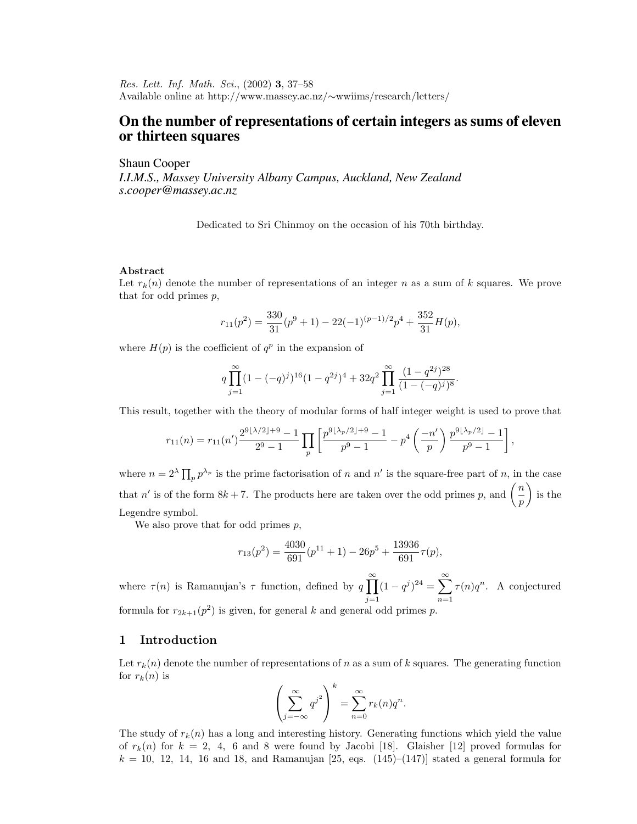Res. Lett. Inf. Math. Sci., (2002) **3**, 37–58 Available online at http://www.massey.ac.nz/∼wwiims/research/letters/

# **On the number of representations of certain integers as sums of eleven or thirteen squares**

Shaun Cooper

*I.I.M.S., Massey University Albany Campus, Auckland, New Zealand s.cooper@massey.ac.nz*

Dedicated to Sri Chinmoy on the occasion of his 70th birthday.

### **Abstract**

Let  $r_k(n)$  denote the number of representations of an integer n as a sum of k squares. We prove that for odd primes p,

$$
r_{11}(p^2) = \frac{330}{31}(p^9 + 1) - 22(-1)^{(p-1)/2}p^4 + \frac{352}{31}H(p),
$$

where  $H(p)$  is the coefficient of  $q^p$  in the expansion of

$$
q \prod_{j=1}^{\infty} (1 - (-q)^j)^{16} (1 - q^{2j})^4 + 32q^2 \prod_{j=1}^{\infty} \frac{(1 - q^{2j})^{28}}{(1 - (-q)^j)^8}.
$$

This result, together with the theory of modular forms of half integer weight is used to prove that

$$
r_{11}(n) = r_{11}(n') \frac{2^{9\lfloor \lambda/2 \rfloor + 9} - 1}{2^9 - 1} \prod_p \left[ \frac{p^{9\lfloor \lambda_p/2 \rfloor + 9} - 1}{p^9 - 1} - p^4 \left( \frac{-n'}{p} \right) \frac{p^{9\lfloor \lambda_p/2 \rfloor} - 1}{p^9 - 1} \right],
$$

where  $n = 2^{\lambda} \prod_{p} p^{\lambda_p}$  is the prime factorisation of n and n' is the square-free part of n, in the case that n' is of the form  $8k + 7$ . The products here are taken over the odd primes p, and  $\left(\frac{n}{p}\right)$  $\Big)$  is the Legendre symbol.

We also prove that for odd primes  $p$ ,

$$
r_{13}(p^2) = \frac{4030}{691}(p^{11} + 1) - 26p^5 + \frac{13936}{691}\tau(p),
$$

where  $\tau(n)$  is Ramanujan's  $\tau$  function, defined by  $q \prod_{n=1}^{\infty}$  $j=1$  $(1 - q^j)^{24} = \sum_{n=1}^{\infty}$  $n=1$  $\tau(n)q^n$ . A conjectured formula for  $r_{2k+1}(p^2)$  is given, for general k and general odd primes p.

### **1 Introduction**

Let  $r_k(n)$  denote the number of representations of n as a sum of k squares. The generating function for  $r_k(n)$  is

$$
\left(\sum_{j=-\infty}^{\infty} q^{j^2}\right)^k = \sum_{n=0}^{\infty} r_k(n)q^n.
$$

The study of  $r_k(n)$  has a long and interesting history. Generating functions which yield the value of  $r_k(n)$  for  $k = 2, 4, 6$  and 8 were found by Jacobi [18]. Glaisher [12] proved formulas for  $k = 10, 12, 14, 16$  and 18, and Ramanujan [25, eqs.  $(145)$ – $(147)$ ] stated a general formula for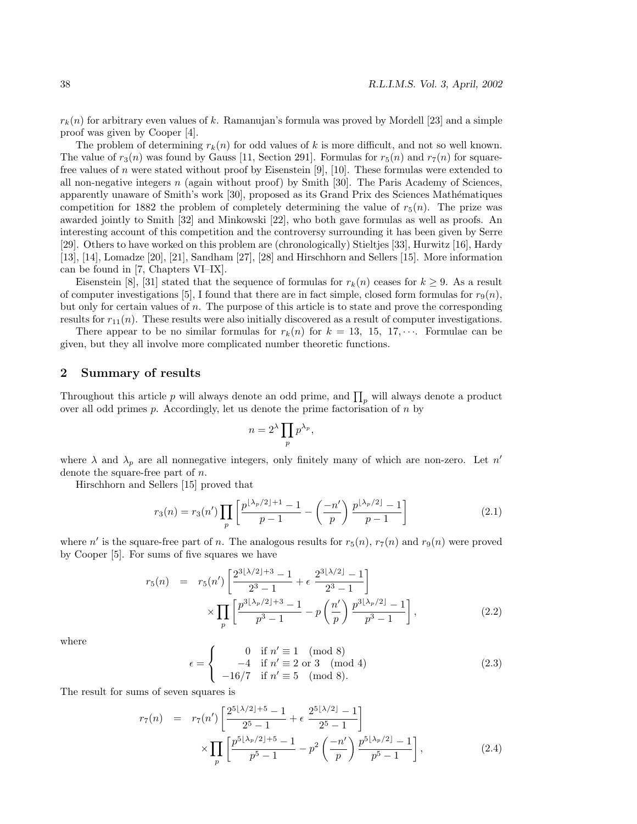$r_k(n)$  for arbitrary even values of k. Ramanujan's formula was proved by Mordell [23] and a simple proof was given by Cooper [4].

The problem of determining  $r_k(n)$  for odd values of k is more difficult, and not so well known. The value of  $r_3(n)$  was found by Gauss [11, Section 291]. Formulas for  $r_5(n)$  and  $r_7(n)$  for squarefree values of n were stated without proof by Eisenstein [9], [10]. These formulas were extended to all non-negative integers n (again without proof) by Smith [30]. The Paris Academy of Sciences, apparently unaware of Smith's work [30], proposed as its Grand Prix des Sciences Mathématiques competition for 1882 the problem of completely determining the value of  $r_5(n)$ . The prize was awarded jointly to Smith [32] and Minkowski [22], who both gave formulas as well as proofs. An interesting account of this competition and the controversy surrounding it has been given by Serre [29]. Others to have worked on this problem are (chronologically) Stieltjes [33], Hurwitz [16], Hardy [13], [14], Lomadze [20], [21], Sandham [27], [28] and Hirschhorn and Sellers [15]. More information can be found in [7, Chapters VI–IX].

Eisenstein [8], [31] stated that the sequence of formulas for  $r_k(n)$  ceases for  $k \geq 9$ . As a result of computer investigations [5], I found that there are in fact simple, closed form formulas for  $r_9(n)$ , but only for certain values of n. The purpose of this article is to state and prove the corresponding results for  $r_{11}(n)$ . These results were also initially discovered as a result of computer investigations.

There appear to be no similar formulas for  $r_k(n)$  for  $k = 13, 15, 17, \cdots$ . Formulae can be given, but they all involve more complicated number theoretic functions.

### **2 Summary of results**

Throughout this article p will always denote an odd prime, and  $\prod_{p}$  will always denote a product over all odd primes  $p$ . Accordingly, let us denote the prime factorisation of  $n$  by

$$
n = 2^{\lambda} \prod_{p} p^{\lambda_p},
$$

where  $\lambda$  and  $\lambda_p$  are all nonnegative integers, only finitely many of which are non-zero. Let n' denote the square-free part of n.

Hirschhorn and Sellers [15] proved that

$$
r_3(n) = r_3(n') \prod_p \left[ \frac{p^{\lfloor \lambda_p/2 \rfloor + 1} - 1}{p - 1} - \left( \frac{-n'}{p} \right) \frac{p^{\lfloor \lambda_p/2 \rfloor} - 1}{p - 1} \right]
$$
(2.1)

where n' is the square-free part of n. The analogous results for  $r_5(n)$ ,  $r_7(n)$  and  $r_9(n)$  were proved by Cooper [5]. For sums of five squares we have

$$
r_5(n) = r_5(n') \left[ \frac{2^{3\lfloor \lambda/2 \rfloor + 3} - 1}{2^3 - 1} + \epsilon \frac{2^{3\lfloor \lambda/2 \rfloor} - 1}{2^3 - 1} \right] \times \prod_p \left[ \frac{p^{3\lfloor \lambda_p/2 \rfloor + 3} - 1}{p^3 - 1} - p \left( \frac{n'}{p} \right) \frac{p^{3\lfloor \lambda_p/2 \rfloor} - 1}{p^3 - 1} \right],
$$
\n(2.2)

where

$$
\epsilon = \begin{cases}\n0 & \text{if } n' \equiv 1 \pmod{8} \\
-4 & \text{if } n' \equiv 2 \text{ or } 3 \pmod{4} \\
-16/7 & \text{if } n' \equiv 5 \pmod{8}.\n\end{cases}
$$
\n(2.3)

The result for sums of seven squares is

$$
r_{7}(n) = r_{7}(n') \left[ \frac{2^{5\lfloor \lambda/2 \rfloor + 5} - 1}{2^{5} - 1} + \epsilon \frac{2^{5\lfloor \lambda/2 \rfloor} - 1}{2^{5} - 1} \right] \times \prod_{p} \left[ \frac{p^{5\lfloor \lambda_p/2 \rfloor + 5} - 1}{p^{5} - 1} - p^{2} \left( \frac{-n'}{p} \right) \frac{p^{5\lfloor \lambda_p/2 \rfloor} - 1}{p^{5} - 1} \right],
$$
\n(2.4)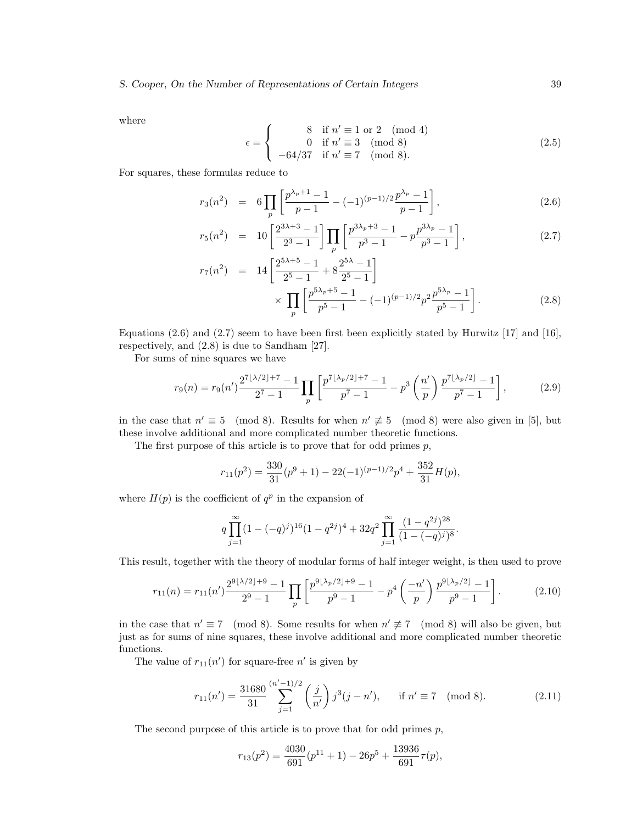where

$$
\epsilon = \begin{cases}\n8 & \text{if } n' \equiv 1 \text{ or } 2 \pmod{4} \\
0 & \text{if } n' \equiv 3 \pmod{8} \\
-64/37 & \text{if } n' \equiv 7 \pmod{8}.\n\end{cases}
$$
\n(2.5)

For squares, these formulas reduce to

$$
r_3(n^2) = 6 \prod_p \left[ \frac{p^{\lambda_p+1}-1}{p-1} - (-1)^{(p-1)/2} \frac{p^{\lambda_p}-1}{p-1} \right],
$$
\n(2.6)

$$
r_5(n^2) = 10 \left[ \frac{2^{3\lambda+3}-1}{2^3-1} \right] \prod_p \left[ \frac{p^{3\lambda_p+3}-1}{p^3-1} - p \frac{p^{3\lambda_p}-1}{p^3-1} \right],
$$
\n(2.7)

$$
r_7(n^2) = 14 \left[ \frac{2^{5\lambda + 5} - 1}{2^5 - 1} + 8 \frac{2^{5\lambda} - 1}{2^5 - 1} \right] \times \prod_p \left[ \frac{p^{5\lambda_p + 5} - 1}{p^5 - 1} - (-1)^{(p-1)/2} p^2 \frac{p^{5\lambda_p} - 1}{p^5 - 1} \right].
$$
 (2.8)

Equations  $(2.6)$  and  $(2.7)$  seem to have been first been explicitly stated by Hurwitz [17] and [16], respectively, and (2.8) is due to Sandham [27].

For sums of nine squares we have

$$
r_9(n) = r_9(n') \frac{2^{7\lfloor \lambda/2 \rfloor + 7} - 1}{2^7 - 1} \prod_p \left[ \frac{p^{7\lfloor \lambda_p/2 \rfloor + 7} - 1}{p^7 - 1} - p^3 \left( \frac{n'}{p} \right) \frac{p^{7\lfloor \lambda_p/2 \rfloor} - 1}{p^7 - 1} \right],\tag{2.9}
$$

in the case that  $n' \equiv 5 \pmod{8}$ . Results for when  $n' \not\equiv 5 \pmod{8}$  were also given in [5], but these involve additional and more complicated number theoretic functions.

The first purpose of this article is to prove that for odd primes  $p$ ,

$$
r_{11}(p^2) = \frac{330}{31}(p^9 + 1) - 22(-1)^{(p-1)/2}p^4 + \frac{352}{31}H(p),
$$

where  $H(p)$  is the coefficient of  $q^p$  in the expansion of

$$
q \prod_{j=1}^{\infty} (1 - (-q)^j)^{16} (1 - q^{2j})^4 + 32q^2 \prod_{j=1}^{\infty} \frac{(1 - q^{2j})^{28}}{(1 - (-q)^j)^8}.
$$

This result, together with the theory of modular forms of half integer weight, is then used to prove

$$
r_{11}(n) = r_{11}(n') \frac{2^{9\lfloor \lambda/2 \rfloor + 9} - 1}{2^9 - 1} \prod_p \left[ \frac{p^{9\lfloor \lambda_p/2 \rfloor + 9} - 1}{p^9 - 1} - p^4 \left( \frac{-n'}{p} \right) \frac{p^{9\lfloor \lambda_p/2 \rfloor} - 1}{p^9 - 1} \right].
$$
 (2.10)

in the case that  $n' \equiv 7 \pmod{8}$ . Some results for when  $n' \not\equiv 7 \pmod{8}$  will also be given, but just as for sums of nine squares, these involve additional and more complicated number theoretic functions.

The value of  $r_{11}(n')$  for square-free  $n'$  is given by

$$
r_{11}(n') = \frac{31680}{31} \sum_{j=1}^{(n'-1)/2} \left(\frac{j}{n'}\right) j^3(j-n'), \quad \text{if } n' \equiv 7 \pmod{8}.
$$
 (2.11)

The second purpose of this article is to prove that for odd primes  $p$ ,

$$
r_{13}(p^2) = \frac{4030}{691}(p^{11} + 1) - 26p^5 + \frac{13936}{691}\tau(p),
$$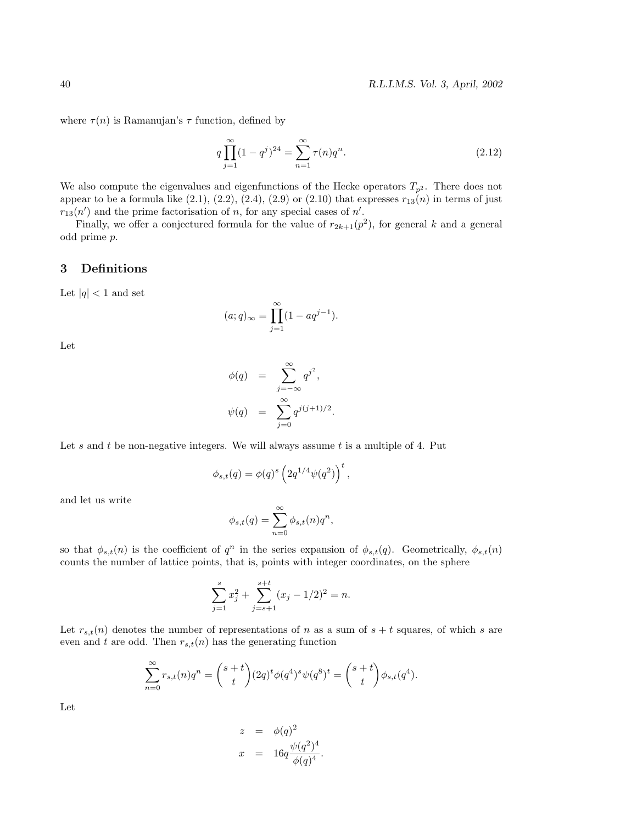where  $\tau(n)$  is Ramanujan's  $\tau$  function, defined by

$$
q\prod_{j=1}^{\infty}(1-q^j)^{24} = \sum_{n=1}^{\infty}\tau(n)q^n.
$$
\n(2.12)

We also compute the eigenvalues and eigenfunctions of the Hecke operators  $T_{p^2}$ . There does not appear to be a formula like  $(2.1)$ ,  $(2.2)$ ,  $(2.4)$ ,  $(2.9)$  or  $(2.10)$  that expresses  $r_{13}(n)$  in terms of just  $r_{13}(n')$  and the prime factorisation of n, for any special cases of n'.

Finally, we offer a conjectured formula for the value of  $r_{2k+1}(p^2)$ , for general k and a general odd prime p.

# **3 Definitions**

Let  $|q|$  < 1 and set

$$
(a;q)_{\infty} = \prod_{j=1}^{\infty} (1 - aq^{j-1}).
$$

Let

$$
\begin{aligned}\n\phi(q) &= \sum_{j=-\infty}^{\infty} q^{j^2}, \\
\psi(q) &= \sum_{j=0}^{\infty} q^{j(j+1)/2}.\n\end{aligned}
$$

Let  $s$  and  $t$  be non-negative integers. We will always assume  $t$  is a multiple of 4. Put

$$
\phi_{s,t}(q) = \phi(q)^s \left( 2q^{1/4} \psi(q^2) \right)^t
$$
,

and let us write

$$
\phi_{s,t}(q) = \sum_{n=0}^{\infty} \phi_{s,t}(n) q^n,
$$

so that  $\phi_{s,t}(n)$  is the coefficient of  $q^n$  in the series expansion of  $\phi_{s,t}(q)$ . Geometrically,  $\phi_{s,t}(n)$ counts the number of lattice points, that is, points with integer coordinates, on the sphere

$$
\sum_{j=1}^{s} x_j^2 + \sum_{j=s+1}^{s+t} (x_j - 1/2)^2 = n.
$$

Let  $r_{s,t}(n)$  denotes the number of representations of n as a sum of  $s + t$  squares, of which s are even and t are odd. Then  $r_{s,t}(n)$  has the generating function

$$
\sum_{n=0}^{\infty} r_{s,t}(n)q^n = {s+t \choose t} (2q)^t \phi(q^4)^s \psi(q^8)^t = {s+t \choose t} \phi_{s,t}(q^4).
$$

Let

$$
z = \phi(q)^2
$$
  

$$
x = 16q \frac{\psi(q^2)^4}{\phi(q)^4}.
$$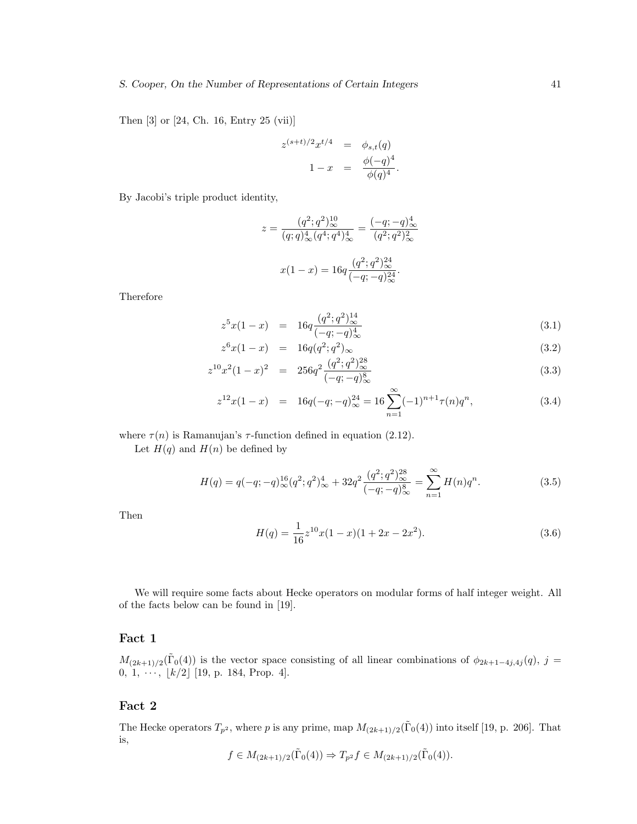Then [3] or [24, Ch. 16, Entry 25 (vii)]

$$
z^{(s+t)/2}x^{t/4} = \phi_{s,t}(q)
$$
  

$$
1 - x = \frac{\phi(-q)^4}{\phi(q)^4}.
$$

By Jacobi's triple product identity,

$$
z = \frac{(q^2;q^2)_{\infty}^{10}}{(q;q)_{\infty}^4 (q^4;q^4)_{\infty}^4} = \frac{(-q;-q)_{\infty}^4}{(q^2;q^2)_{\infty}^2}
$$

$$
x(1-x) = 16q \frac{(q^2;q^2)_{\infty}^{24}}{(-q;-q)_{\infty}^{24}}.
$$

Therefore

$$
z^{5}x(1-x) = 16q \frac{(q^{2};q^{2})_{\infty}^{14}}{(-q;-q)_{\infty}^{4}}
$$
\n(3.1)

$$
z^{6}x(1-x) = 16q(q^{2};q^{2})_{\infty}
$$
\n(3.2)

$$
z^{10}x^2(1-x)^2 = 256q^2 \frac{(q^2;q^2)_{\infty}^{28}}{(-q;-q)_{\infty}^8}
$$
\n(3.3)

$$
z^{12}x(1-x) = 16q(-q; -q)^{24}_{\infty} = 16\sum_{n=1}^{\infty} (-1)^{n+1}\tau(n)q^n,
$$
\n(3.4)

where  $\tau(n)$  is Ramanujan's  $\tau$ -function defined in equation (2.12).

Let  $H(q)$  and  $H(n)$  be defined by

$$
H(q) = q(-q; -q)_{\infty}^{16}(q^2; q^2)_{\infty}^4 + 32q^2 \frac{(q^2; q^2)_{\infty}^{28}}{(-q; -q)_{\infty}^8} = \sum_{n=1}^{\infty} H(n)q^n.
$$
 (3.5)

Then

$$
H(q) = \frac{1}{16}z^{10}x(1-x)(1+2x-2x^2).
$$
 (3.6)

We will require some facts about Hecke operators on modular forms of half integer weight. All of the facts below can be found in [19].

## **Fact 1**

 $M_{(2k+1)/2}(\tilde{\Gamma}_0(4))$  is the vector space consisting of all linear combinations of  $\phi_{2k+1-4j,4j}(q)$ , j = 0, 1,  $\cdots$ ,  $\lfloor k/2 \rfloor$  [19, p. 184, Prop. 4].

# **Fact 2**

The Hecke operators  $T_{p^2}$ , where p is any prime, map  $M_{(2k+1)/2}(\tilde{\Gamma}_0(4))$  into itself [19, p. 206]. That is,

$$
f \in M_{(2k+1)/2}(\tilde{\Gamma}_0(4)) \Rightarrow T_{p^2}f \in M_{(2k+1)/2}(\tilde{\Gamma}_0(4)).
$$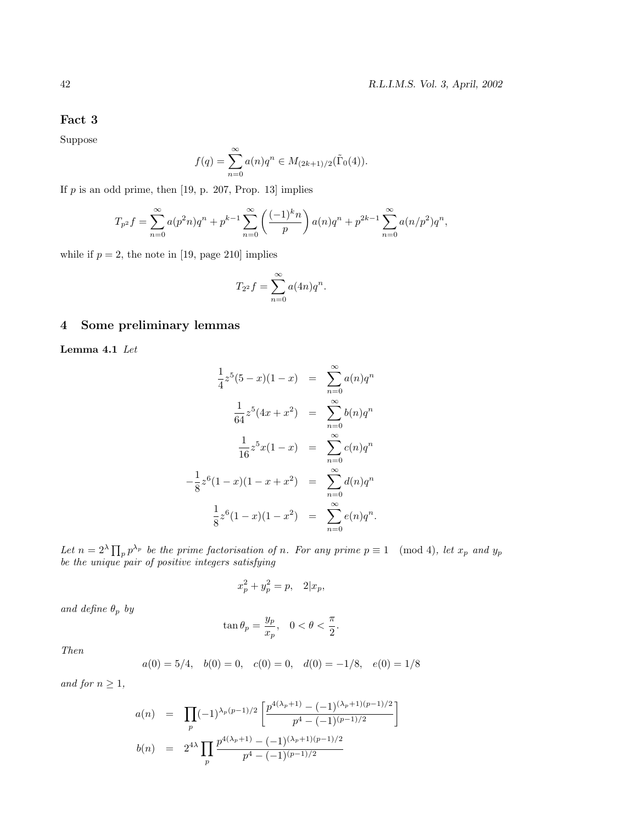# **Fact 3**

Suppose

$$
f(q) = \sum_{n=0}^{\infty} a(n)q^n \in M_{(2k+1)/2}(\tilde{\Gamma}_0(4)).
$$

If  $p$  is an odd prime, then  $[19, p. 207, Prop. 13]$  implies

$$
T_{p^2}f = \sum_{n=0}^{\infty} a(p^2n)q^n + p^{k-1} \sum_{n=0}^{\infty} \left(\frac{(-1)^k n}{p}\right) a(n)q^n + p^{2k-1} \sum_{n=0}^{\infty} a(n/p^2)q^n,
$$

while if  $p = 2$ , the note in [19, page 210] implies

$$
T_{2^2}f = \sum_{n=0}^{\infty} a(4n)q^n.
$$

# **4 Some preliminary lemmas**

**Lemma 4.1** Let

$$
\frac{1}{4}z^5(5-x)(1-x) = \sum_{n=0}^{\infty} a(n)q^n
$$

$$
\frac{1}{64}z^5(4x+x^2) = \sum_{n=0}^{\infty} b(n)q^n
$$

$$
\frac{1}{16}z^5x(1-x) = \sum_{n=0}^{\infty} c(n)q^n
$$

$$
-\frac{1}{8}z^6(1-x)(1-x+x^2) = \sum_{n=0}^{\infty} d(n)q^n
$$

$$
\frac{1}{8}z^6(1-x)(1-x^2) = \sum_{n=0}^{\infty} e(n)q^n.
$$

Let  $n = 2^{\lambda} \prod_{p} p^{\lambda_p}$  be the prime factorisation of n. For any prime  $p \equiv 1 \pmod{4}$ , let  $x_p$  and  $y_p$ be the unique pair of positive integers satisfying

$$
x_p^2 + y_p^2 = p, \quad 2|x_p,
$$

and define  $\theta_p$  by

$$
\tan \theta_p = \frac{y_p}{x_p}, \quad 0 < \theta < \frac{\pi}{2}.
$$

Then

$$
a(0) = 5/4
$$
,  $b(0) = 0$ ,  $c(0) = 0$ ,  $d(0) = -1/8$ ,  $e(0) = 1/8$ 

and for  $n \geq 1$ ,

$$
a(n) = \prod_{p} (-1)^{\lambda_p(p-1)/2} \left[ \frac{p^{4(\lambda_p+1)} - (-1)^{(\lambda_p+1)(p-1)/2}}{p^4 - (-1)^{(p-1)/2}} \right]
$$
  

$$
b(n) = 2^{4\lambda} \prod_{p} \frac{p^{4(\lambda_p+1)} - (-1)^{(\lambda_p+1)(p-1)/2}}{p^4 - (-1)^{(p-1)/2}}
$$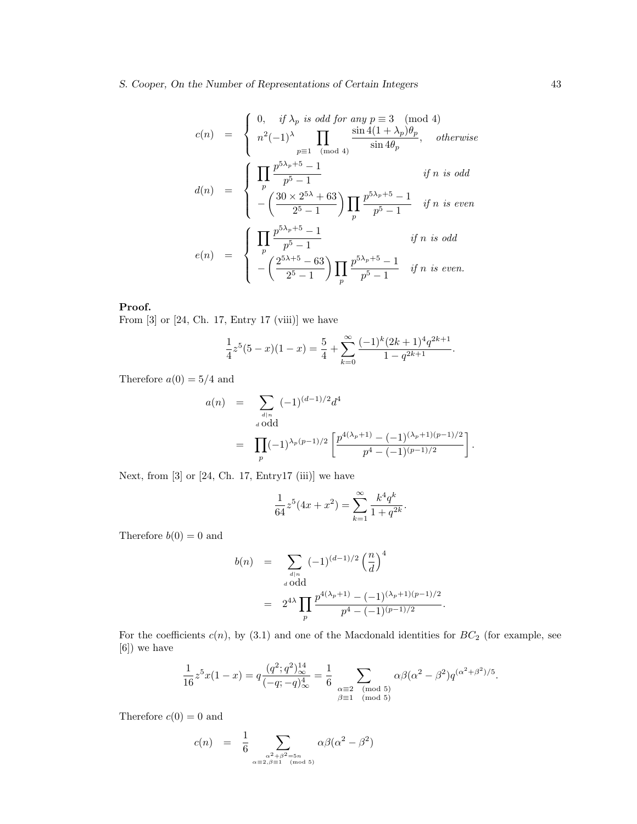$$
c(n) = \begin{cases} 0, & if \lambda_p \text{ is odd for any } p \equiv 3 \pmod{4} \\ n^2(-1)^\lambda \prod_{p \equiv 1 \pmod{4}} \frac{\sin 4(1 + \lambda_p)\theta_p}{\sin 4\theta_p}, & otherwise \end{cases}
$$
  

$$
d(n) = \begin{cases} \prod_{p \leq 3} \frac{p^{5\lambda_p + 5} - 1}{p^5 - 1} & if n \text{ is odd} \\ -\left(\frac{30 \times 2^{5\lambda} + 63}{2^5 - 1}\right) \prod_{p \leq 5} \frac{p^{5\lambda_p + 5} - 1}{p^5 - 1} & if n \text{ is even} \\ -\left(\frac{2^{5\lambda + 5} - 63}{2^5 - 1}\right) \prod_{p \leq 5} \frac{p^{5\lambda_p + 5} - 1}{p^5 - 1} & if n \text{ is even.} \end{cases}
$$
  

$$
e(n) = \begin{cases} \prod_{p \leq 5} \frac{p^{5\lambda_p + 5} - 1}{2^5 - 1} & if n \text{ is even.} \\ -\left(\frac{2^{5\lambda + 5} - 63}{2^5 - 1}\right) \prod_{p \leq 5} \frac{p^{5\lambda_p + 5} - 1}{p^5 - 1} & if n \text{ is even.} \end{cases}
$$

### **Proof.**

From [3] or [24, Ch. 17, Entry 17 (viii)] we have

$$
\frac{1}{4}z^{5}(5-x)(1-x) = \frac{5}{4} + \sum_{k=0}^{\infty} \frac{(-1)^{k}(2k+1)^{4}q^{2k+1}}{1-q^{2k+1}}.
$$

Therefore  $a(0) = 5/4$  and

$$
a(n) = \sum_{\substack{d|n \ d \text{ odd}}} (-1)^{(d-1)/2} d^4
$$
  
= 
$$
\prod_p (-1)^{\lambda_p (p-1)/2} \left[ \frac{p^{4(\lambda_p+1)} - (-1)^{(\lambda_p+1)(p-1)/2}}{p^4 - (-1)^{(p-1)/2}} \right].
$$

Next, from  $[3]$  or  $[24, Ch. 17, Entry17 (iii)]$  we have

$$
\frac{1}{64}z^5(4x+x^2) = \sum_{k=1}^{\infty} \frac{k^4q^k}{1+q^{2k}}.
$$

Therefore  $b(0) = 0$  and

$$
b(n) = \sum_{\substack{d|n \text{odd} \\ a \text{ odd}}} (-1)^{(d-1)/2} \left(\frac{n}{d}\right)^4
$$
  
= 
$$
2^{4\lambda} \prod_p \frac{p^{4(\lambda_p+1)} - (-1)^{(\lambda_p+1)(p-1)/2}}{p^4 - (-1)^{(p-1)/2}}.
$$

For the coefficients  $c(n)$ , by (3.1) and one of the Macdonald identities for  $BC_2$  (for example, see [6]) we have

$$
\frac{1}{16}z^5x(1-x) = q\frac{(q^2;q^2)_{\infty}^{14}}{(-q;-q)_{\infty}^4} = \frac{1}{6}\sum_{\substack{\alpha \equiv 2 \pmod{5} \\ \beta \equiv 1 \pmod{5}}} \alpha \beta (\alpha^2 - \beta^2) q^{(\alpha^2 + \beta^2)/5}.
$$

Therefore  $c(0) = 0$  and

$$
c(n) = \frac{1}{6} \sum_{\substack{\alpha^2 + \beta^2 = 5n \\ \alpha \equiv 2, \beta \equiv 1 \pmod{5}}} \alpha \beta (\alpha^2 - \beta^2)
$$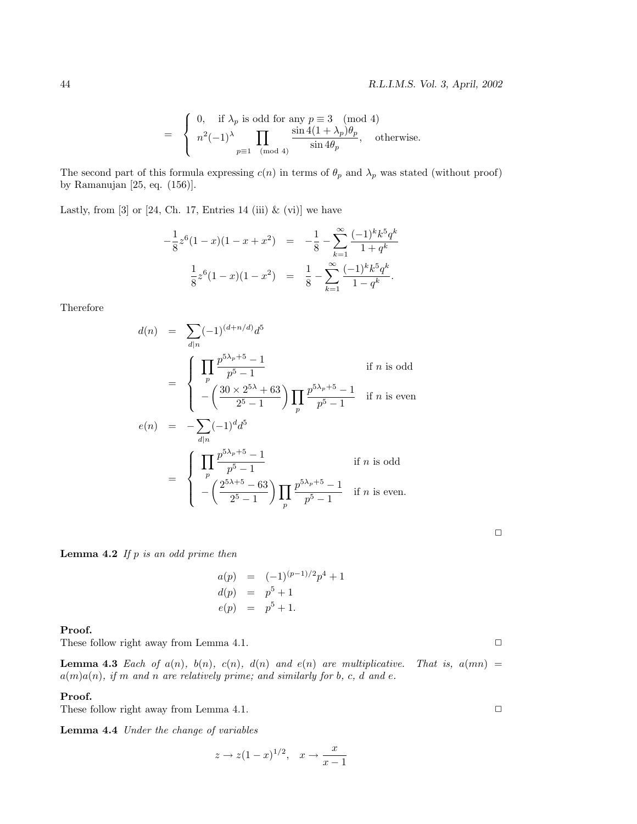$$
= \begin{cases} 0, & \text{if } \lambda_p \text{ is odd for any } p \equiv 3 \pmod{4} \\ n^2(-1)^{\lambda} \prod_{p \equiv 1 \pmod{4}} \frac{\sin 4(1 + \lambda_p)\theta_p}{\sin 4\theta_p}, & \text{otherwise.} \end{cases}
$$

The second part of this formula expressing  $c(n)$  in terms of  $\theta_p$  and  $\lambda_p$  was stated (without proof) by Ramanujan [25, eq. (156)].

Lastly, from  $[3]$  or  $[24, Ch. 17, Entries 14 (iii) \& (vi)]$  we have

$$
-\frac{1}{8}z^{6}(1-x)(1-x+x^{2}) = -\frac{1}{8} - \sum_{k=1}^{\infty} \frac{(-1)^{k}k^{5}q^{k}}{1+q^{k}}
$$

$$
\frac{1}{8}z^{6}(1-x)(1-x^{2}) = \frac{1}{8} - \sum_{k=1}^{\infty} \frac{(-1)^{k}k^{5}q^{k}}{1-q^{k}}.
$$

Therefore

$$
d(n) = \sum_{d|n} (-1)^{(d+n/d)} d^5
$$
  
\n
$$
= \begin{cases} \prod_{p} \frac{p^{5\lambda_p + 5} - 1}{p^5 - 1} & \text{if } n \text{ is odd} \\ -\left(\frac{30 \times 2^{5\lambda} + 63}{2^5 - 1}\right) \prod_{p} \frac{p^{5\lambda_p + 5} - 1}{p^5 - 1} & \text{if } n \text{ is even} \end{cases}
$$
  
\n
$$
e(n) = -\sum_{d|n} (-1)^d d^5
$$
  
\n
$$
= \begin{cases} \prod_{p} \frac{p^{5\lambda_p + 5} - 1}{p^5 - 1} & \text{if } n \text{ is odd} \\ -\left(\frac{2^{5\lambda + 5} - 63}{2^5 - 1}\right) \prod_{p} \frac{p^{5\lambda_p + 5} - 1}{p^5 - 1} & \text{if } n \text{ is even.} \end{cases}
$$

**Lemma 4.2** If p is an odd prime then

$$
a(p) = (-1)^{(p-1)/2} p^{4} + 1
$$
  
\n
$$
d(p) = p^{5} + 1
$$
  
\n
$$
e(p) = p^{5} + 1.
$$

### **Proof.**

These follow right away from Lemma 4.1.  $\Box$ 

**Lemma 4.3** Each of  $a(n)$ ,  $b(n)$ ,  $c(n)$ ,  $d(n)$  and  $e(n)$  are multiplicative. That is,  $a(mn)$  =  $a(m)a(n)$ , if m and n are relatively prime; and similarly for b, c, d and e.

#### **Proof.**

These follow right away from Lemma 4.1.  $\Box$ 

**Lemma 4.4** Under the change of variables

$$
z \to z(1-x)^{1/2}, \quad x \to \frac{x}{x-1}
$$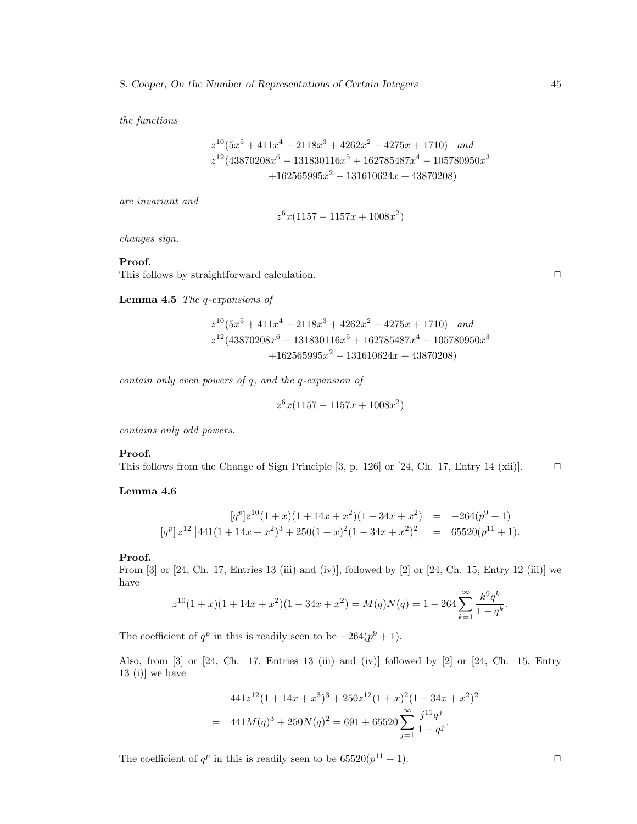the functions

$$
z^{10}(5x^5 + 411x^4 - 2118x^3 + 4262x^2 - 4275x + 1710) and
$$
  
\n
$$
z^{12}(43870208x^6 - 131830116x^5 + 162785487x^4 - 105780950x^3 + 162565995x^2 - 131610624x + 43870208)
$$

are invariant and

$$
z^{6}x(1157 - 1157x + 1008x^{2})
$$

changes sign.

### **Proof.**

This follows by straightforward calculation.  $\Box$ 

**Lemma 4.5** The q-expansions of

$$
z^{10}(5x^5 + 411x^4 - 2118x^3 + 4262x^2 - 4275x + 1710) and
$$
  
\n
$$
z^{12}(43870208x^6 - 131830116x^5 + 162785487x^4 - 105780950x^3
$$
  
\n
$$
+162565995x^2 - 131610624x + 43870208)
$$

contain only even powers of q, and the q-expansion of

$$
z^6 x (1157 - 1157x + 1008x^2)
$$

contains only odd powers.

### **Proof.**

This follows from the Change of Sign Principle [3, p. 126] or [24, Ch. 17, Entry 14 (xii)].  $\Box$ 

### **Lemma 4.6**

$$
[q^p]z^{10}(1+x)(1+14x+x^2)(1-34x+x^2) = -264(p^9+1)
$$
  
\n
$$
[q^p]z^{12}[441(1+14x+x^2)^3+250(1+x)^2(1-34x+x^2)^2] = 65520(p^{11}+1).
$$

### **Proof.**

From [3] or [24, Ch. 17, Entries 13 (iii) and (iv)], followed by [2] or [24, Ch. 15, Entry 12 (iii)] we have

$$
z^{10}(1+x)(1+14x+x^2)(1-34x+x^2) = M(q)N(q) = 1 - 264 \sum_{k=1}^{\infty} \frac{k^9 q^k}{1-q^k}.
$$

The coefficient of  $q^p$  in this is readily seen to be  $-264(p^9 + 1)$ .

Also, from [3] or [24, Ch. 17, Entries 13 (iii) and (iv)] followed by [2] or [24, Ch. 15, Entry  $13$  (i)] we have

$$
441z^{12}(1+14x+x^3)^3+250z^{12}(1+x)^2(1-34x+x^2)^2
$$
  
= 441M(q)<sup>3</sup> + 250N(q)<sup>2</sup> = 691 + 65520
$$
\sum_{j=1}^{\infty} \frac{j^{11}q^j}{1-q^j}.
$$

The coefficient of  $q^p$  in this is readily seen to be  $65520(p^{11} + 1)$ .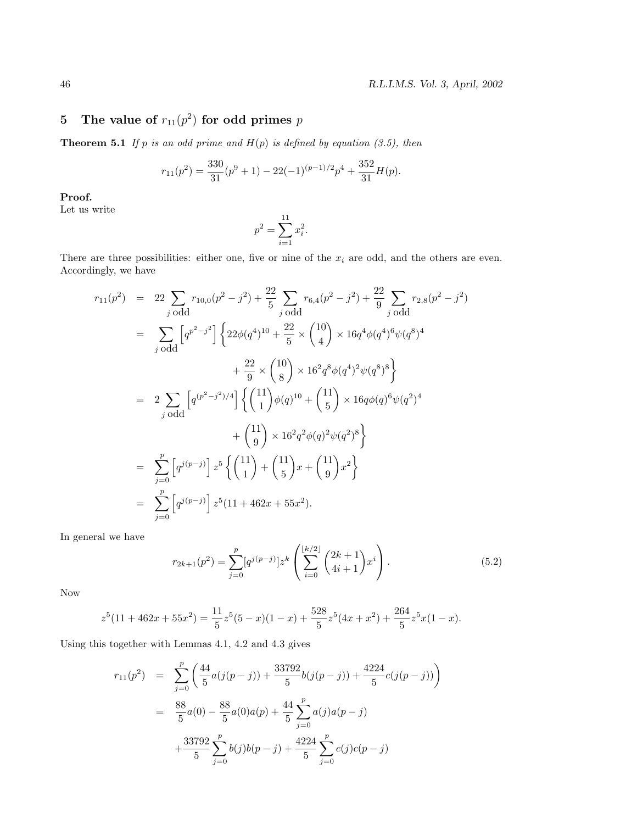# **5 The value of**  $r_{11}(p^2)$  for odd primes p

**Theorem 5.1** If p is an odd prime and  $H(p)$  is defined by equation (3.5), then

$$
r_{11}(p^2) = \frac{330}{31}(p^9 + 1) - 22(-1)^{(p-1)/2}p^4 + \frac{352}{31}H(p).
$$

**Proof.**

Let us write

$$
p^2 = \sum_{i=1}^{11} x_i^2.
$$

There are three possibilities: either one, five or nine of the  $x_i$  are odd, and the others are even. Accordingly, we have

$$
r_{11}(p^{2}) = 22 \sum_{j \text{ odd}} r_{10,0}(p^{2} - j^{2}) + \frac{22}{5} \sum_{j \text{ odd}} r_{6,4}(p^{2} - j^{2}) + \frac{22}{9} \sum_{j \text{ odd}} r_{2,8}(p^{2} - j^{2})
$$
  
\n
$$
= \sum_{j \text{ odd}} \left[ q^{p^{2} - j^{2}} \right] \left\{ 22\phi(q^{4})^{10} + \frac{22}{5} \times {10 \choose 4} \times 16q^{4}\phi(q^{4})^{6}\psi(q^{8})^{4} + \frac{22}{9} \times {10 \choose 8} \times 16^{2}q^{8}\phi(q^{4})^{2}\psi(q^{8})^{8} \right\}
$$
  
\n
$$
= 2 \sum_{j \text{ odd}} \left[ q^{(p^{2} - j^{2})/4} \right] \left\{ {11 \choose 1} \phi(q)^{10} + {11 \choose 5} \times 16q\phi(q)^{6}\psi(q^{2})^{4} + {11 \choose 9} \times 16^{2}q^{2}\phi(q)^{2}\psi(q^{2})^{8} \right\}
$$
  
\n
$$
= \sum_{j=0}^{p} \left[ q^{j(p-j)} \right] z^{5} \left\{ {11 \choose 1} + {11 \choose 5} x + {11 \choose 9} x^{2} \right\}
$$
  
\n
$$
= \sum_{j=0}^{p} \left[ q^{j(p-j)} \right] z^{5} (11 + 462x + 55x^{2}).
$$

In general we have

$$
r_{2k+1}(p^2) = \sum_{j=0}^p [q^{j(p-j)}] z^k \left( \sum_{i=0}^{\lfloor k/2 \rfloor} {2k+1 \choose 4i+1} x^i \right).
$$
 (5.2)

Now

$$
z^{5}(11+462x+55x^{2}) = \frac{11}{5}z^{5}(5-x)(1-x) + \frac{528}{5}z^{5}(4x+x^{2}) + \frac{264}{5}z^{5}x(1-x).
$$

Using this together with Lemmas 4.1, 4.2 and 4.3 gives

$$
r_{11}(p^2) = \sum_{j=0}^p \left( \frac{44}{5} a(j(p-j)) + \frac{33792}{5} b(j(p-j)) + \frac{4224}{5} c(j(p-j)) \right)
$$
  

$$
= \frac{88}{5} a(0) - \frac{88}{5} a(0) a(p) + \frac{44}{5} \sum_{j=0}^p a(j) a(p-j)
$$
  

$$
+ \frac{33792}{5} \sum_{j=0}^p b(j) b(p-j) + \frac{4224}{5} \sum_{j=0}^p c(j) c(p-j)
$$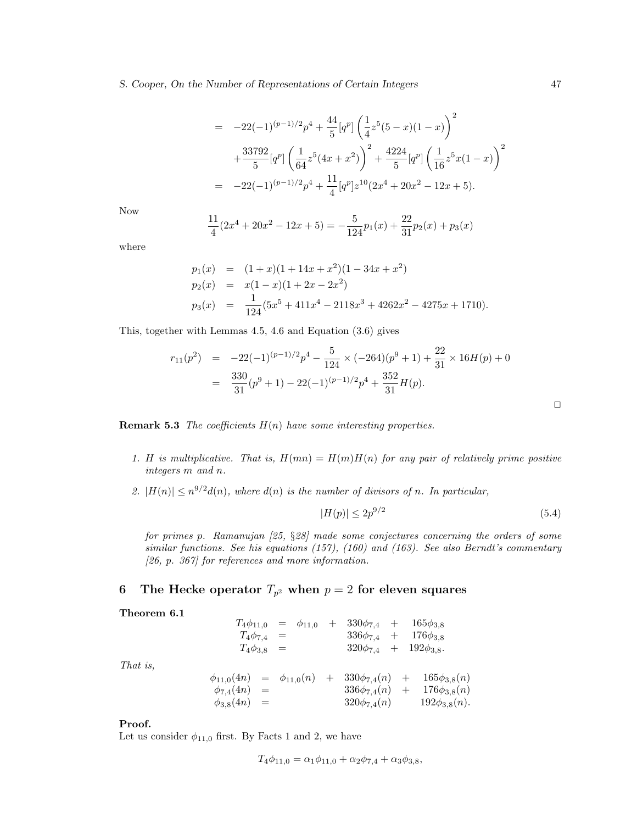#### *S. Cooper, On the Number of Representations of Certain Integers* 47

$$
= -22(-1)^{(p-1)/2}p^{4} + \frac{44}{5}[q^{p}]\left(\frac{1}{4}z^{5}(5-x)(1-x)\right)^{2}
$$

$$
+ \frac{33792}{5}[q^{p}]\left(\frac{1}{64}z^{5}(4x+x^{2})\right)^{2} + \frac{4224}{5}[q^{p}]\left(\frac{1}{16}z^{5}x(1-x)\right)^{2}
$$

$$
= -22(-1)^{(p-1)/2}p^{4} + \frac{11}{4}[q^{p}]z^{10}(2x^{4}+20x^{2}-12x+5).
$$

Now

$$
\frac{11}{4}(2x^4 + 20x^2 - 12x + 5) = -\frac{5}{124}p_1(x) + \frac{22}{31}p_2(x) + p_3(x)
$$

where

$$
p_1(x) = (1+x)(1+14x+x^2)(1-34x+x^2)
$$
  
\n
$$
p_2(x) = x(1-x)(1+2x-2x^2)
$$
  
\n
$$
p_3(x) = \frac{1}{124}(5x^5+411x^4-2118x^3+4262x^2-4275x+1710).
$$

This, together with Lemmas 4.5, 4.6 and Equation (3.6) gives

$$
r_{11}(p^2) = -22(-1)^{(p-1)/2}p^4 - \frac{5}{124} \times (-264)(p^9 + 1) + \frac{22}{31} \times 16H(p) + 0
$$
  
= 
$$
\frac{330}{31}(p^9 + 1) - 22(-1)^{(p-1)/2}p^4 + \frac{352}{31}H(p).
$$

**Remark 5.3** The coefficients  $H(n)$  have some interesting properties.

- 1. H is multiplicative. That is,  $H(mn) = H(m)H(n)$  for any pair of relatively prime positive integers m and n.
- 2.  $|H(n)| \leq n^{9/2} d(n)$ , where  $d(n)$  is the number of divisors of n. In particular,

$$
|H(p)| \le 2p^{9/2} \tag{5.4}
$$

for primes p. Ramanujan [25, §28] made some conjectures concerning the orders of some similar functions. See his equations (157), (160) and (163). See also Berndt's commentary [26, p. 367] for references and more information.

# **6 The Hecke operator**  $T_{p^2}$  when  $p = 2$  for eleven squares

**Theorem 6.1**

|                                                                          |                   |     | $T_4\phi_{11,0} = \phi_{11,0}$ | $+ 330\phi_{7,4} + 165\phi_{3,8}$     |  |                      |  |
|--------------------------------------------------------------------------|-------------------|-----|--------------------------------|---------------------------------------|--|----------------------|--|
| $T_4\phi_{7,4}$                                                          |                   | $=$ |                                | $336\phi_{7,4}$ + $176\phi_{3,8}$     |  |                      |  |
|                                                                          | $T_4\phi_{3,8} =$ |     |                                | $320\phi_{7,4}$ + $192\phi_{3,8}$ .   |  |                      |  |
|                                                                          |                   |     |                                |                                       |  |                      |  |
| $\phi_{11,0}(4n) = \phi_{11,0}(n) + 330\phi_{7,4}(n) + 165\phi_{3,8}(n)$ |                   |     |                                |                                       |  |                      |  |
| $\phi_{7,4}(4n) =$                                                       |                   |     |                                | $336\phi_{7,4}(n) + 176\phi_{3,8}(n)$ |  |                      |  |
| $\phi_{3,8}(4n) =$                                                       |                   |     |                                | $320\phi_{7,4}(n)$                    |  | $192\phi_{3,8}(n)$ . |  |

That is,

### **Proof.**

Let us consider  $\phi_{11,0}$  first. By Facts 1 and 2, we have

$$
T_4\phi_{11,0} = \alpha_1\phi_{11,0} + \alpha_2\phi_{7,4} + \alpha_3\phi_{3,8},
$$

 $\Box$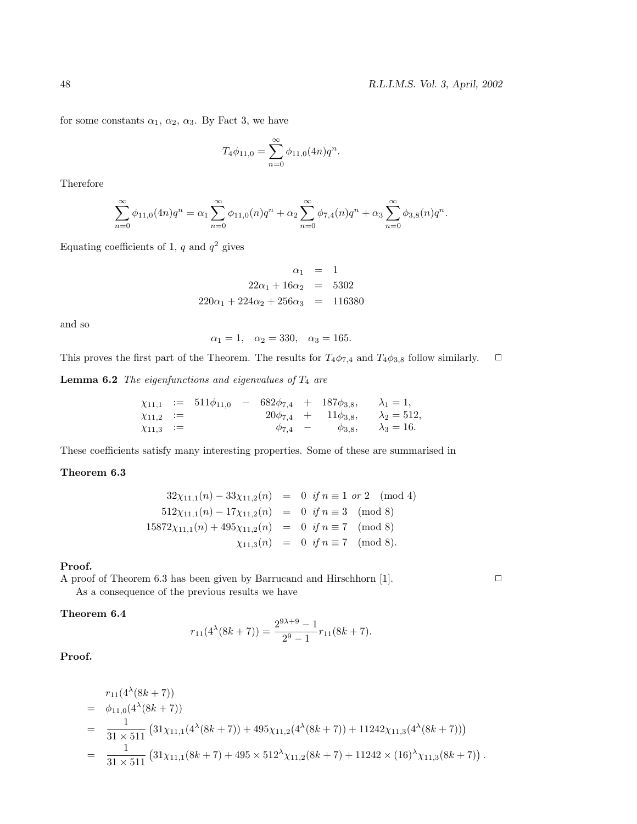for some constants  $\alpha_1, \alpha_2, \alpha_3$ . By Fact 3, we have

$$
T_4\phi_{11,0} = \sum_{n=0}^{\infty} \phi_{11,0}(4n)q^n.
$$

Therefore

$$
\sum_{n=0}^{\infty} \phi_{11,0}(4n)q^n = \alpha_1 \sum_{n=0}^{\infty} \phi_{11,0}(n)q^n + \alpha_2 \sum_{n=0}^{\infty} \phi_{7,4}(n)q^n + \alpha_3 \sum_{n=0}^{\infty} \phi_{3,8}(n)q^n.
$$

Equating coefficients of 1,  $q$  and  $q^2$  gives

$$
\alpha_1 = 1
$$
  
22 $\alpha_1$  + 16 $\alpha_2$  = 5302  
220 $\alpha_1$  + 224 $\alpha_2$  + 256 $\alpha_3$  = 116380

and so

$$
\alpha_1 = 1, \quad \alpha_2 = 330, \quad \alpha_3 = 165.
$$

This proves the first part of the Theorem. The results for  $T_4\phi_{7,4}$  and  $T_4\phi_{3,8}$  follow similarly.  $\Box$ 

**Lemma 6.2** The eigenfunctions and eigenvalues of  $T_4$  are

$$
\chi_{11,1} := 511\phi_{11,0} - 682\phi_{7,4} + 187\phi_{3,8}, \quad \lambda_1 = 1, \n\chi_{11,2} := 20\phi_{7,4} + 11\phi_{3,8}, \quad \lambda_2 = 512, \n\chi_{11,3} := \phi_{7,4} - \phi_{3,8}, \quad \lambda_3 = 16.
$$

These coefficients satisfy many interesting properties. Some of these are summarised in

#### **Theorem 6.3**

$$
32\chi_{11,1}(n) - 33\chi_{11,2}(n) = 0 \text{ if } n \equiv 1 \text{ or } 2 \pmod{4}
$$
  
\n
$$
512\chi_{11,1}(n) - 17\chi_{11,2}(n) = 0 \text{ if } n \equiv 3 \pmod{8}
$$
  
\n
$$
15872\chi_{11,1}(n) + 495\chi_{11,2}(n) = 0 \text{ if } n \equiv 7 \pmod{8}
$$
  
\n
$$
\chi_{11,3}(n) = 0 \text{ if } n \equiv 7 \pmod{8}.
$$

### **Proof.**

A proof of Theorem 6.3 has been given by Barrucand and Hirschhorn [1].  $\Box$ 

As a consequence of the previous results we have

# **Theorem 6.4**

$$
r_{11}(4^{\lambda}(8k+7)) = \frac{2^{9\lambda+9} - 1}{2^9 - 1} r_{11}(8k+7).
$$

**Proof.**

$$
r_{11}(4^{\lambda}(8k+7))
$$
  
=  $\phi_{11,0}(4^{\lambda}(8k+7))$   
=  $\frac{1}{31 \times 511} (31\chi_{11,1}(4^{\lambda}(8k+7)) + 495\chi_{11,2}(4^{\lambda}(8k+7)) + 11242\chi_{11,3}(4^{\lambda}(8k+7)))$   
=  $\frac{1}{31 \times 511} (31\chi_{11,1}(8k+7) + 495 \times 512^{\lambda}\chi_{11,2}(8k+7) + 11242 \times (16)^{\lambda}\chi_{11,3}(8k+7)).$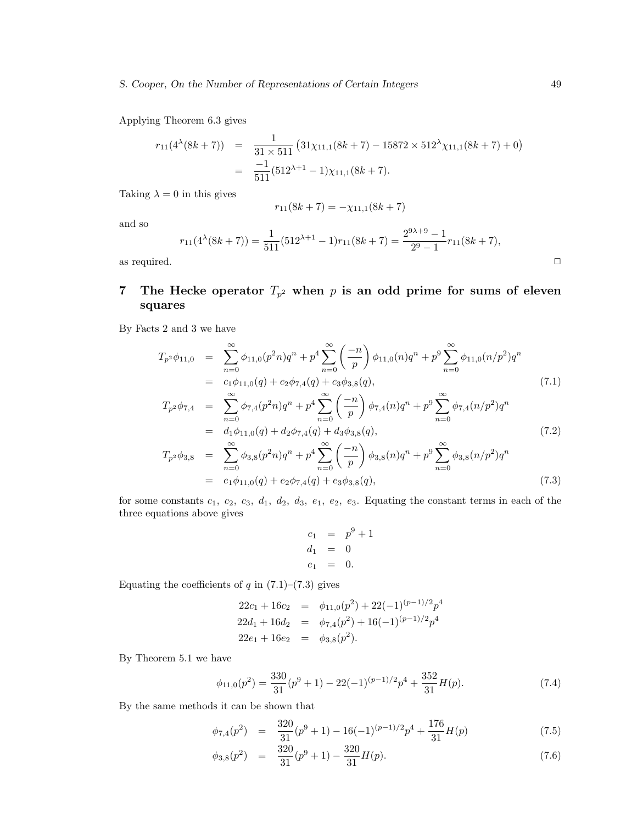Applying Theorem 6.3 gives

$$
r_{11}(4^{\lambda}(8k+7)) = \frac{1}{31 \times 511} (31\chi_{11,1}(8k+7) - 15872 \times 512^{\lambda}\chi_{11,1}(8k+7) + 0)
$$
  
= 
$$
\frac{-1}{511} (512^{\lambda+1} - 1)\chi_{11,1}(8k+7).
$$

Taking  $\lambda = 0$  in this gives

$$
r_{11}(8k+7) = -\chi_{11,1}(8k+7)
$$

and so

$$
r_{11}(4^{\lambda}(8k+7)) = \frac{1}{511}(512^{\lambda+1} - 1)r_{11}(8k+7) = \frac{2^{9\lambda+9} - 1}{2^9 - 1}r_{11}(8k+7),
$$
 as required.

# **7 The Hecke operator**  $T_{p^2}$  when p is an odd prime for sums of eleven **squares**

By Facts 2 and 3 we have

$$
T_{p2}\phi_{11,0} = \sum_{n=0}^{\infty} \phi_{11,0}(p^2n)q^n + p^4 \sum_{n=0}^{\infty} \left(\frac{-n}{p}\right) \phi_{11,0}(n)q^n + p^9 \sum_{n=0}^{\infty} \phi_{11,0}(n/p^2)q^n
$$
  
=  $c_1\phi_{11,0}(q) + c_2\phi_{7,4}(q) + c_3\phi_{3,8}(q),$  (7.1)

$$
T_{p^2}\phi_{7,4} = \sum_{n=0}^{\infty} \phi_{7,4}(p^2n)q^n + p^4 \sum_{n=0}^{\infty} \left(\frac{-n}{p}\right) \phi_{7,4}(n)q^n + p^9 \sum_{n=0}^{\infty} \phi_{7,4}(n/p^2)q^n
$$
  
\n
$$
= d_1\phi_{11,0}(q) + d_2\phi_{7,4}(q) + d_3\phi_{3,8}(q),
$$
  
\n
$$
T_{p^2}\phi_{3,8} = \sum_{n=0}^{\infty} \phi_{3,8}(p^2n)q^n + p^4 \sum_{n=0}^{\infty} \left(\frac{-n}{p}\right) \phi_{3,8}(n)q^n + p^9 \sum_{n=0}^{\infty} \phi_{3,8}(n/p^2)q^n
$$
  
\n
$$
= e_1\phi_{11,0}(q) + e_2\phi_{7,4}(q) + e_3\phi_{3,8}(q),
$$
\n(7.3)

for some constants  $c_1$ ,  $c_2$ ,  $c_3$ ,  $d_1$ ,  $d_2$ ,  $d_3$ ,  $e_1$ ,  $e_2$ ,  $e_3$ . Equating the constant terms in each of the three equations above gives

$$
c_1 = p^9 + 1 \n d_1 = 0 \n e_1 = 0.
$$

Equating the coefficients of  $q$  in  $(7.1)$ – $(7.3)$  gives

$$
22c_1 + 16c_2 = \phi_{11,0}(p^2) + 22(-1)^{(p-1)/2}p^4
$$
  
\n
$$
22d_1 + 16d_2 = \phi_{7,4}(p^2) + 16(-1)^{(p-1)/2}p^4
$$
  
\n
$$
22e_1 + 16e_2 = \phi_{3,8}(p^2).
$$

By Theorem 5.1 we have

$$
\phi_{11,0}(p^2) = \frac{330}{31}(p^9 + 1) - 22(-1)^{(p-1)/2}p^4 + \frac{352}{31}H(p). \tag{7.4}
$$

By the same methods it can be shown that

$$
\phi_{7,4}(p^2) = \frac{320}{31}(p^9 + 1) - 16(-1)^{(p-1)/2}p^4 + \frac{176}{31}H(p) \tag{7.5}
$$

$$
\phi_{3,8}(p^2) = \frac{320}{31}(p^9 + 1) - \frac{320}{31}H(p). \tag{7.6}
$$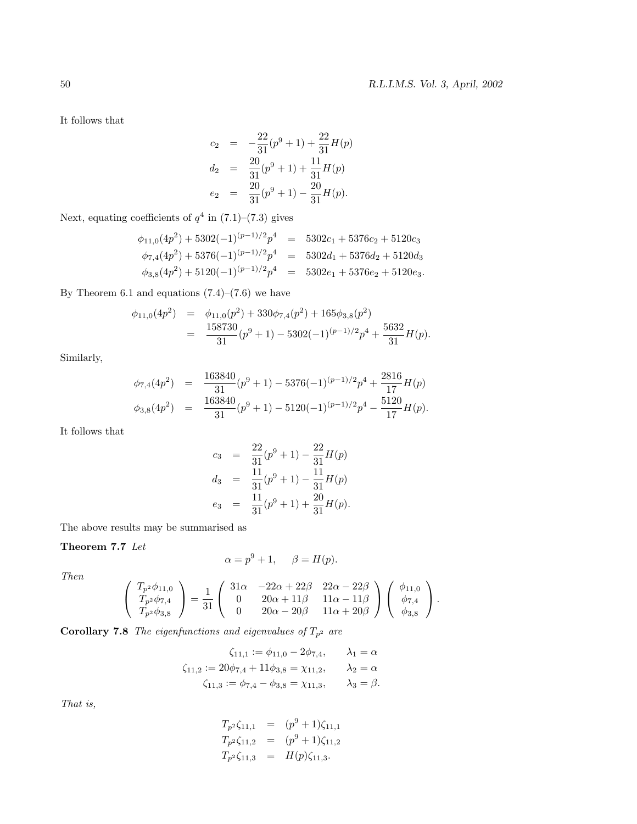It follows that

$$
c_2 = -\frac{22}{31}(p^9 + 1) + \frac{22}{31}H(p)
$$
  
\n
$$
d_2 = \frac{20}{31}(p^9 + 1) + \frac{11}{31}H(p)
$$
  
\n
$$
e_2 = \frac{20}{31}(p^9 + 1) - \frac{20}{31}H(p).
$$

Next, equating coefficients of  $q^4$  in  $\left(7.1\right)–\left(7.3\right)$  gives

$$
\phi_{11,0}(4p^2) + 5302(-1)^{(p-1)/2}p^4 = 5302c_1 + 5376c_2 + 5120c_3
$$
  
\n
$$
\phi_{7,4}(4p^2) + 5376(-1)^{(p-1)/2}p^4 = 5302d_1 + 5376d_2 + 5120d_3
$$
  
\n
$$
\phi_{3,8}(4p^2) + 5120(-1)^{(p-1)/2}p^4 = 5302e_1 + 5376e_2 + 5120e_3.
$$

By Theorem 6.1 and equations  $(7.4)$ – $(7.6)$  we have

$$
\begin{array}{rcl}\n\phi_{11,0}(4p^2) & = & \phi_{11,0}(p^2) + 330\phi_{7,4}(p^2) + 165\phi_{3,8}(p^2) \\
& = & \frac{158730}{31}(p^9 + 1) - 5302(-1)^{(p-1)/2}p^4 + \frac{5632}{31}H(p).\n\end{array}
$$

Similarly,

$$
\begin{aligned}\n\phi_{7,4}(4p^2) &= \frac{163840}{31}(p^9+1) - 5376(-1)^{(p-1)/2}p^4 + \frac{2816}{17}H(p) \\
\phi_{3,8}(4p^2) &= \frac{163840}{31}(p^9+1) - 5120(-1)^{(p-1)/2}p^4 - \frac{5120}{17}H(p).\n\end{aligned}
$$

It follows that

$$
c_3 = \frac{22}{31}(p^9 + 1) - \frac{22}{31}H(p)
$$
  
\n
$$
d_3 = \frac{11}{31}(p^9 + 1) - \frac{11}{31}H(p)
$$
  
\n
$$
e_3 = \frac{11}{31}(p^9 + 1) + \frac{20}{31}H(p).
$$

The above results may be summarised as

## **Theorem 7.7** Let

$$
\alpha = p^9 + 1, \quad \beta = H(p).
$$

Then

$$
\begin{pmatrix}\nT_{p^2}\phi_{11,0} \\
T_{p^2}\phi_{7,4} \\
T_{p^2}\phi_{3,8}\n\end{pmatrix} = \frac{1}{31} \begin{pmatrix}\n31\alpha & -22\alpha + 22\beta & 22\alpha - 22\beta \\
0 & 20\alpha + 11\beta & 11\alpha - 11\beta \\
0 & 20\alpha - 20\beta & 11\alpha + 20\beta\n\end{pmatrix} \begin{pmatrix}\n\phi_{11,0} \\
\phi_{7,4} \\
\phi_{3,8}\n\end{pmatrix}.
$$

**Corollary 7.8** The eigenfunctions and eigenvalues of  $T_{p^2}$  are

$$
\zeta_{11,1} := \phi_{11,0} - 2\phi_{7,4}, \qquad \lambda_1 = \alpha
$$
  

$$
\zeta_{11,2} := 20\phi_{7,4} + 11\phi_{3,8} = \chi_{11,2}, \qquad \lambda_2 = \alpha
$$
  

$$
\zeta_{11,3} := \phi_{7,4} - \phi_{3,8} = \chi_{11,3}, \qquad \lambda_3 = \beta.
$$

That is,

$$
T_{p^2}\zeta_{11,1} = (p^9 + 1)\zeta_{11,1}
$$
  
\n
$$
T_{p^2}\zeta_{11,2} = (p^9 + 1)\zeta_{11,2}
$$
  
\n
$$
T_{p^2}\zeta_{11,3} = H(p)\zeta_{11,3}.
$$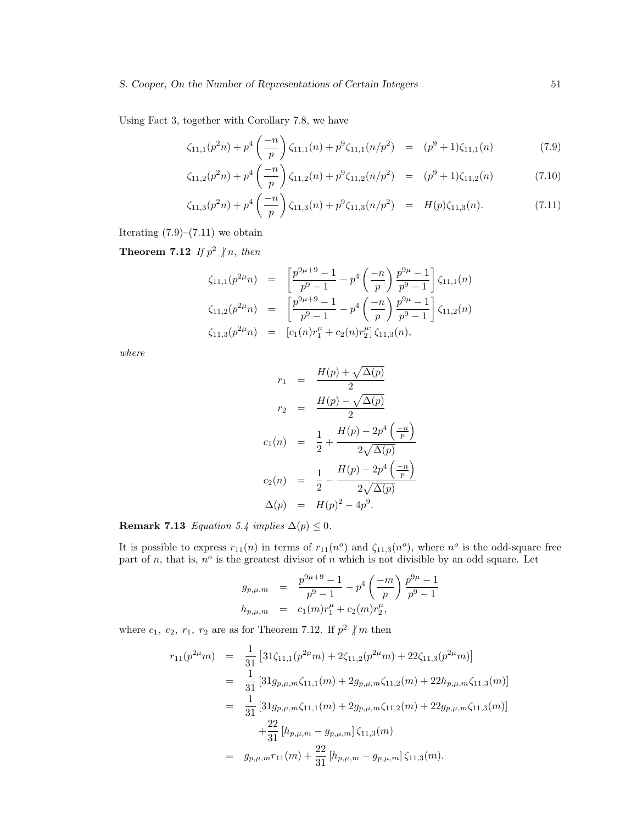Using Fact 3, together with Corollary 7.8, we have

$$
\zeta_{11,1}(p^2n) + p^4 \left(\frac{-n}{p}\right) \zeta_{11,1}(n) + p^9 \zeta_{11,1}(n/p^2) = (p^9 + 1)\zeta_{11,1}(n) \tag{7.9}
$$

$$
\zeta_{11,2}(p^2n) + p^4 \left(\frac{-n}{p}\right) \zeta_{11,2}(n) + p^9 \zeta_{11,2}(n/p^2) = (p^9 + 1)\zeta_{11,2}(n) \tag{7.10}
$$

$$
\zeta_{11,3}(p^2n) + p^4 \left(\frac{-n}{p}\right) \zeta_{11,3}(n) + p^9 \zeta_{11,3}(n/p^2) = H(p)\zeta_{11,3}(n). \tag{7.11}
$$

Iterating  $(7.9)$ – $(7.11)$  we obtain

**Theorem 7.12** If  $p^2 \nmid n$ , then

$$
\zeta_{11,1}(p^{2\mu}n) = \left[\frac{p^{9\mu+9}-1}{p^9-1} - p^4\left(\frac{-n}{p}\right)\frac{p^{9\mu}-1}{p^9-1}\right]\zeta_{11,1}(n)
$$
  
\n
$$
\zeta_{11,2}(p^{2\mu}n) = \left[\frac{p^{9\mu+9}-1}{p^9-1} - p^4\left(\frac{-n}{p}\right)\frac{p^{9\mu}-1}{p^9-1}\right]\zeta_{11,2}(n)
$$
  
\n
$$
\zeta_{11,3}(p^{2\mu}n) = \left[c_1(n)r_1^{\mu} + c_2(n)r_2^{\mu}\right]\zeta_{11,3}(n),
$$

where

$$
r_1 = \frac{H(p) + \sqrt{\Delta(p)}}{2}
$$
  
\n
$$
r_2 = \frac{H(p) - \sqrt{\Delta(p)}}{2}
$$
  
\n
$$
c_1(n) = \frac{1}{2} + \frac{H(p) - 2p^4\left(\frac{-n}{p}\right)}{2\sqrt{\Delta(p)}}
$$
  
\n
$$
c_2(n) = \frac{1}{2} - \frac{H(p) - 2p^4\left(\frac{-n}{p}\right)}{2\sqrt{\Delta(p)}}
$$
  
\n
$$
\Delta(p) = H(p)^2 - 4p^9.
$$

# **Remark 7.13** Equation 5.4 implies  $\Delta(p) \leq 0$ .

It is possible to express  $r_{11}(n)$  in terms of  $r_{11}(n^o)$  and  $\zeta_{11,3}(n^o)$ , where  $n^o$  is the odd-square free part of n, that is,  $n^o$  is the greatest divisor of n which is not divisible by an odd square. Let

$$
g_{p,\mu,m} = \frac{p^{9\mu+9} - 1}{p^9 - 1} - p^4 \left(\frac{-m}{p}\right) \frac{p^{9\mu} - 1}{p^9 - 1}
$$
  

$$
h_{p,\mu,m} = c_1(m)r_1^{\mu} + c_2(m)r_2^{\mu},
$$

where  $c_1$ ,  $c_2$ ,  $r_1$ ,  $r_2$  are as for Theorem 7.12. If  $p^2 \nmid m$  then

$$
r_{11}(p^{2\mu}m) = \frac{1}{31} \left[ 31\zeta_{11,1}(p^{2\mu}m) + 2\zeta_{11,2}(p^{2\mu}m) + 22\zeta_{11,3}(p^{2\mu}m) \right]
$$
  
\n
$$
= \frac{1}{31} \left[ 31g_{p,\mu,m}\zeta_{11,1}(m) + 2g_{p,\mu,m}\zeta_{11,2}(m) + 22h_{p,\mu,m}\zeta_{11,3}(m) \right]
$$
  
\n
$$
= \frac{1}{31} \left[ 31g_{p,\mu,m}\zeta_{11,1}(m) + 2g_{p,\mu,m}\zeta_{11,2}(m) + 22g_{p,\mu,m}\zeta_{11,3}(m) \right]
$$
  
\n
$$
+ \frac{22}{31} \left[ h_{p,\mu,m} - g_{p,\mu,m} \right] \zeta_{11,3}(m)
$$
  
\n
$$
= g_{p,\mu,m}r_{11}(m) + \frac{22}{31} \left[ h_{p,\mu,m} - g_{p,\mu,m} \right] \zeta_{11,3}(m).
$$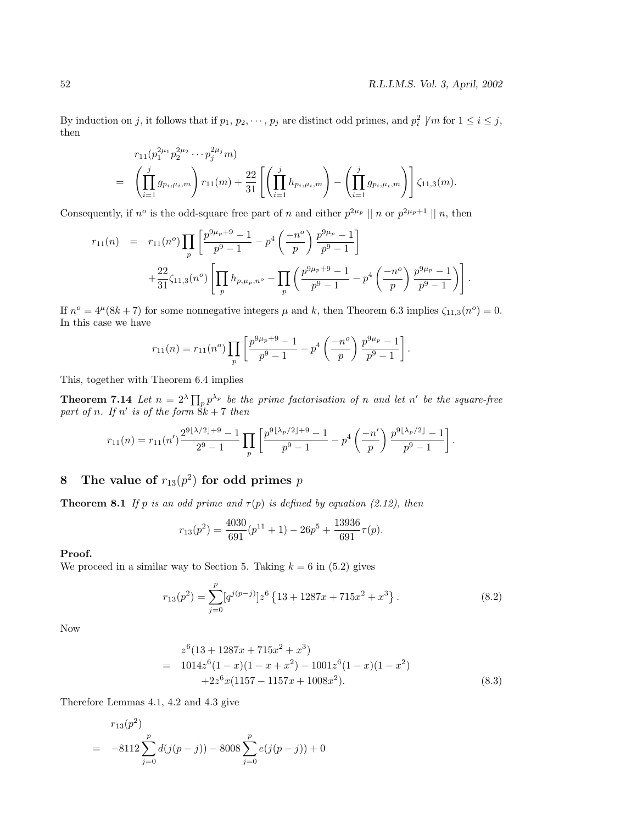By induction on j, it follows that if  $p_1, p_2, \dots, p_j$  are distinct odd primes, and  $p_i^2 \not | m$  for  $1 \le i \le j$ , then

$$
r_{11}(p_1^{2\mu_1}p_2^{2\mu_2}\cdots p_j^{2\mu_j}m)
$$
  
=  $\left(\prod_{i=1}^j g_{p_i,\mu_i,m}\right) r_{11}(m) + \frac{22}{31} \left[\left(\prod_{i=1}^j h_{p_i,\mu_i,m}\right) - \left(\prod_{i=1}^j g_{p_i,\mu_i,m}\right)\right] \zeta_{11,3}(m).$ 

Consequently, if  $n^o$  is the odd-square free part of n and either  $p^{2\mu_p} || n$  or  $p^{2\mu_p+1} || n$ , then

$$
r_{11}(n) = r_{11}(n^{o}) \prod_{p} \left[ \frac{p^{9\mu_p + 9} - 1}{p^9 - 1} - p^4 \left( \frac{-n^{o}}{p} \right) \frac{p^{9\mu_p} - 1}{p^9 - 1} \right] + \frac{22}{31} \zeta_{11,3}(n^{o}) \left[ \prod_{p} h_{p,\mu_p,n^{o}} - \prod_{p} \left( \frac{p^{9\mu_p + 9} - 1}{p^9 - 1} - p^4 \left( \frac{-n^{o}}{p} \right) \frac{p^{9\mu_p} - 1}{p^9 - 1} \right) \right].
$$

If  $n^o = 4^{\mu}(8k + 7)$  for some nonnegative integers  $\mu$  and k, then Theorem 6.3 implies  $\zeta_{11,3}(n^o) = 0$ . In this case we have

$$
r_{11}(n) = r_{11}(n^o) \prod_p \left[ \frac{p^{9\mu_p + 9} - 1}{p^9 - 1} - p^4 \left( \frac{-n^o}{p} \right) \frac{p^{9\mu_p} - 1}{p^9 - 1} \right].
$$

This, together with Theorem 6.4 implies

**Theorem 7.14** Let  $n = 2^{\lambda} \prod_{p} p^{\lambda_p}$  be the prime factorisation of n and let n' be the square-free part of n. If  $n'$  is of the form  $\hat{8}k + 7$  then

$$
r_{11}(n) = r_{11}(n') \frac{2^{9\lfloor \lambda/2 \rfloor + 9} - 1}{2^9 - 1} \prod_p \left[ \frac{p^{9\lfloor \lambda_p/2 \rfloor + 9} - 1}{p^9 - 1} - p^4 \left( \frac{-n'}{p} \right) \frac{p^{9\lfloor \lambda_p/2 \rfloor} - 1}{p^9 - 1} \right].
$$

# **8 The value of**  $r_{13}(p^2)$  for odd primes p

**Theorem 8.1** If p is an odd prime and  $\tau(p)$  is defined by equation (2.12), then

$$
r_{13}(p^2) = \frac{4030}{691}(p^{11} + 1) - 26p^5 + \frac{13936}{691}\tau(p).
$$

#### **Proof.**

We proceed in a similar way to Section 5. Taking  $k = 6$  in (5.2) gives

$$
r_{13}(p^2) = \sum_{j=0}^{p} [q^{j(p-j)}] z^6 \left\{ 13 + 1287x + 715x^2 + x^3 \right\}.
$$
 (8.2)

Now

$$
z^{6}(13 + 1287x + 715x^{2} + x^{3})
$$
  
= 1014z<sup>6</sup>(1 - x)(1 - x + x<sup>2</sup>) - 1001z<sup>6</sup>(1 - x)(1 - x<sup>2</sup>)  
+2z<sup>6</sup>x(1157 - 1157x + 1008x<sup>2</sup>). (8.3)

Therefore Lemmas 4.1, 4.2 and 4.3 give

$$
r_{13}(p^2)
$$
  
= -8112  $\sum_{j=0}^{p} d(j(p-j)) - 8008 \sum_{j=0}^{p} e(j(p-j)) + 0$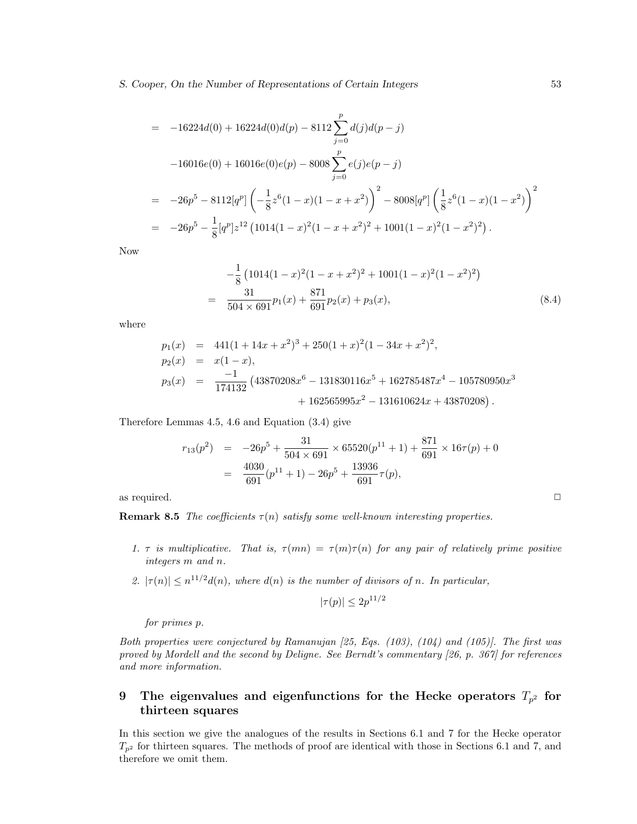*S. Cooper, On the Number of Representations of Certain Integers* 53

$$
= -16224d(0) + 16224d(0)d(p) - 8112\sum_{j=0}^{p} d(j)d(p - j)
$$
  
\n
$$
-16016e(0) + 16016e(0)e(p) - 8008\sum_{j=0}^{p} e(j)e(p - j)
$$
  
\n
$$
= -26p^{5} - 8112[q^{p}] \left( -\frac{1}{8}z^{6}(1 - x)(1 - x + x^{2}) \right)^{2} - 8008[q^{p}] \left( \frac{1}{8}z^{6}(1 - x)(1 - x^{2}) \right)^{2}
$$
  
\n
$$
= -26p^{5} - \frac{1}{8}[q^{p}]z^{12}(1014(1 - x)^{2}(1 - x + x^{2})^{2} + 1001(1 - x)^{2}(1 - x^{2})^{2}).
$$

Now

$$
-\frac{1}{8} \left( 1014(1-x)^2(1-x+x^2)^2 + 1001(1-x)^2(1-x^2)^2 \right)
$$
  
= 
$$
\frac{31}{504 \times 691} p_1(x) + \frac{871}{691} p_2(x) + p_3(x),
$$
 (8.4)

where

$$
p_1(x) = 441(1 + 14x + x^2)^3 + 250(1 + x)^2(1 - 34x + x^2)^2,
$$
  
\n
$$
p_2(x) = x(1 - x),
$$
  
\n
$$
p_3(x) = \frac{-1}{174132} (43870208x^6 - 131830116x^5 + 162785487x^4 - 105780950x^3 + 162565995x^2 - 131610624x + 43870208).
$$

Therefore Lemmas 4.5, 4.6 and Equation (3.4) give

$$
r_{13}(p^2) = -26p^5 + \frac{31}{504 \times 691} \times 65520(p^{11} + 1) + \frac{871}{691} \times 16\tau(p) + 0
$$
  
= 
$$
\frac{4030}{691}(p^{11} + 1) - 26p^5 + \frac{13936}{691}\tau(p),
$$

as required.  $\Box$ 

**Remark 8.5** The coefficients  $\tau(n)$  satisfy some well-known interesting properties.

- 1. τ is multiplicative. That is,  $\tau(mn) = \tau(m)\tau(n)$  for any pair of relatively prime positive integers m and n.
- 2.  $|\tau(n)| \leq n^{11/2} d(n)$ , where  $d(n)$  is the number of divisors of n. In particular,

$$
|\tau(p)| \le 2p^{11/2}
$$

for primes p.

Both properties were conjectured by Ramanujan  $[25, Egs. (103), (104)$  and  $(105)$ . The first was proved by Mordell and the second by Deligne. See Berndt's commentary [26, p. 367] for references and more information.

# **9** The eigenvalues and eigenfunctions for the Hecke operators  $T_{p^2}$  for **thirteen squares**

In this section we give the analogues of the results in Sections 6.1 and 7 for the Hecke operator  $T_{p^2}$  for thirteen squares. The methods of proof are identical with those in Sections 6.1 and 7, and therefore we omit them.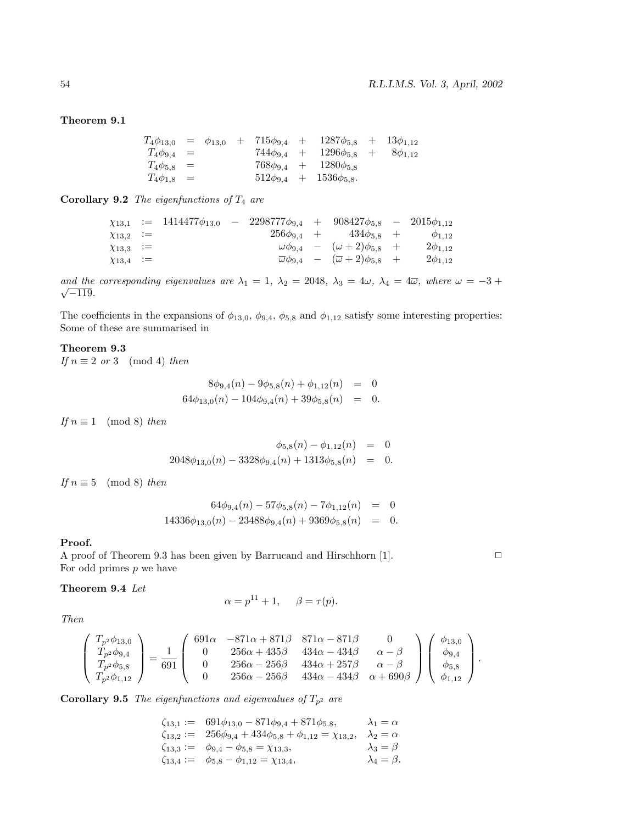**Theorem 9.1**

|                    |  |  | $T_4\phi_{13,0} = \phi_{13,0} + 715\phi_{9,4} + 1287\phi_{5,8} + 13\phi_{1,12}$ |  |
|--------------------|--|--|---------------------------------------------------------------------------------|--|
| $T_4 \phi_{9,4} =$ |  |  | $744\phi_{9,4}$ + $1296\phi_{5,8}$ + $8\phi_{1,12}$                             |  |
| $T_4\phi_{5,8} =$  |  |  | $768\phi_{9,4}$ + $1280\phi_{5,8}$                                              |  |
| $T_4\phi_{1,8} =$  |  |  | $512\phi_{9,4}$ + $1536\phi_{5,8}$ .                                            |  |

**Corollary 9.2** The eigenfunctions of  $T_4$  are

|                  | $\chi_{13,1}$ := 1414477 $\phi_{13,0}$ | $-$ 2298777 $\phi_{9,4}$ + 908427 $\phi_{5,8}$ - 2015 $\phi_{1,12}$ |                                                                     |                  |
|------------------|----------------------------------------|---------------------------------------------------------------------|---------------------------------------------------------------------|------------------|
| $\chi_{13,2} :=$ |                                        |                                                                     | $256\phi_{9.4}$ + $434\phi_{5.8}$ +                                 | $\varphi_{1.12}$ |
| $\chi_{13,3}$ := |                                        |                                                                     | $\omega\phi_{9,4}$ – $(\omega+2)\phi_{5,8}$ +                       | $2\phi_{1,12}$   |
| $\chi_{13,4}$ := |                                        |                                                                     | $\overline{\omega}\phi_{9,4}$ – $(\overline{\omega}+2)\phi_{5,8}$ + | $2\phi_{1,12}$   |

and the corresponding eigenvalues are  $\lambda_1 = 1$ ,  $\lambda_2 = 2048$ ,  $\lambda_3 = 4\omega$ ,  $\lambda_4 = 4\overline{\omega}$ , where  $\omega = -3 + \sqrt{1326}$  $\sqrt{-119}$ .

The coefficients in the expansions of  $\phi_{13,0}$ ,  $\phi_{9,4}$ ,  $\phi_{5,8}$  and  $\phi_{1,12}$  satisfy some interesting properties: Some of these are summarised in

**Theorem 9.3**

If  $n \equiv 2 \text{ or } 3 \pmod{4}$  then

$$
8\phi_{9,4}(n) - 9\phi_{5,8}(n) + \phi_{1,12}(n) = 0
$$
  

$$
64\phi_{13,0}(n) - 104\phi_{9,4}(n) + 39\phi_{5,8}(n) = 0.
$$

If  $n \equiv 1 \pmod{8}$  then

$$
\begin{array}{rcl}\n\phi_{5,8}(n) - \phi_{1,12}(n) & = & 0 \\
2048\phi_{13,0}(n) - 3328\phi_{9,4}(n) + 1313\phi_{5,8}(n) & = & 0.\n\end{array}
$$

If  $n \equiv 5 \pmod{8}$  then

$$
64\phi_{9,4}(n) - 57\phi_{5,8}(n) - 7\phi_{1,12}(n) = 0
$$
  

$$
14336\phi_{13,0}(n) - 23488\phi_{9,4}(n) + 9369\phi_{5,8}(n) = 0
$$

### **Proof.**

A proof of Theorem 9.3 has been given by Barrucand and Hirschhorn [1].  $\Box$ For odd primes  $p$  we have

**Theorem 9.4** Let

$$
\alpha = p^{11} + 1, \quad \beta = \tau(p).
$$

Then

$$
\begin{pmatrix}\nT_{p^2}\phi_{13,0} \\
T_{p^2}\phi_{9,4} \\
T_{p^2}\phi_{5,8} \\
T_{p^2}\phi_{1,12}\n\end{pmatrix} = \frac{1}{691} \begin{pmatrix}\n691\alpha & -871\alpha + 871\beta & 871\alpha - 871\beta & 0 \\
0 & 256\alpha + 435\beta & 434\alpha - 434\beta & \alpha - \beta \\
0 & 256\alpha - 256\beta & 434\alpha + 257\beta & \alpha - \beta \\
0 & 256\alpha - 256\beta & 434\alpha - 434\beta & \alpha + 690\beta\n\end{pmatrix} \begin{pmatrix}\n\phi_{13,0} \\
\phi_{9,4} \\
\phi_{5,8} \\
\phi_{1,12}\n\end{pmatrix}.
$$

**Corollary 9.5** The eigenfunctions and eigenvalues of  $T_{p^2}$  are

$$
\begin{array}{rcl}\n\zeta_{13,1} & := & 691\phi_{13,0} - 871\phi_{9,4} + 871\phi_{5,8}, & \lambda_1 = \alpha \\
\zeta_{13,2} & := & 256\phi_{9,4} + 434\phi_{5,8} + \phi_{1,12} = \chi_{13,2}, & \lambda_2 = \alpha \\
\zeta_{13,3} & := & \phi_{9,4} - \phi_{5,8} = \chi_{13,3}, & \lambda_3 = \beta \\
\zeta_{13,4} & := & \phi_{5,8} - \phi_{1,12} = \chi_{13,4}, & \lambda_4 = \beta.\n\end{array}
$$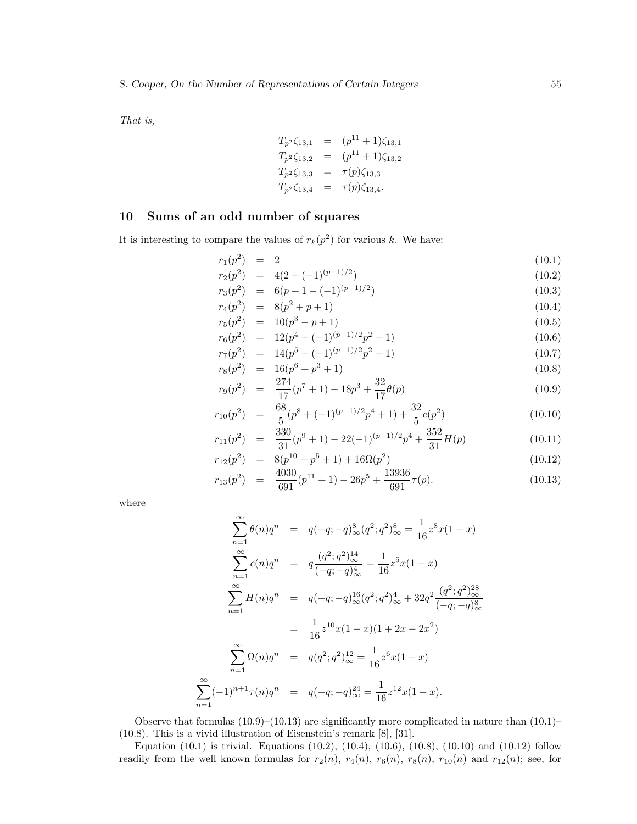That is,

$$
T_{p^2}\zeta_{13,1} = (p^{11} + 1)\zeta_{13,1}
$$
  
\n
$$
T_{p^2}\zeta_{13,2} = (p^{11} + 1)\zeta_{13,2}
$$
  
\n
$$
T_{p^2}\zeta_{13,3} = \tau(p)\zeta_{13,3}
$$
  
\n
$$
T_{p^2}\zeta_{13,4} = \tau(p)\zeta_{13,4}.
$$

# **10 Sums of an odd number of squares**

It is interesting to compare the values of  $r_k(p^2)$  for various k. We have:

$$
r_1(p^2) = 2
$$
\n
$$
r_1(p^2) = 4(2 + (-1)^{(p-1)/2})
$$
\n(10.1)

$$
r_2(p^2) = 4(2 + (-1)^{(p-1)/2}) \tag{10.2}
$$

$$
r_3(p^2) = 6(p+1-(-1)^{(p-1)/2})
$$
\n
$$
r_4(p^2) = 8(p^2+p+1)
$$
\n(10.4)

$$
r_4(p') = 6(p + p + 1) \tag{10.4}
$$
  
\n
$$
r_5(p^2) = 10(p^3 - p + 1) \tag{10.5}
$$

$$
r_6(p^2) = 12(p^4 + (-1)^{(p-1)/2}p^2 + 1)
$$
\n(10.6)

$$
r_7(p^2) = 14(p^5 - (-1)^{(p-1)/2}p^2 + 1)
$$
\n(10.7)

$$
r_8(p^2) = 16(p^6 + p^3 + 1) \tag{10.8}
$$

$$
r_9(p^2) = \frac{274}{17}(p^7 + 1) - 18p^3 + \frac{32}{17}\theta(p) \tag{10.9}
$$

$$
r_{10}(p^2) = \frac{68}{5}(p^8 + (-1)^{(p-1)/2}p^4 + 1) + \frac{32}{5}c(p^2)
$$
(10.10)

$$
r_{11}(p^2) = \frac{330}{31}(p^9 + 1) - 22(-1)^{(p-1)/2}p^4 + \frac{352}{31}H(p)
$$
\n(10.11)

$$
r_{12}(p^2) = 8(p^{10} + p^5 + 1) + 16\Omega(p^2)
$$
\n
$$
= 4030
$$
\n
$$
= 13036
$$
\n(10.12)

$$
r_{13}(p^2) = \frac{4030}{691}(p^{11} + 1) - 26p^5 + \frac{13936}{691}\tau(p). \tag{10.13}
$$

where

$$
\sum_{n=1}^{\infty} \theta(n)q^n = q(-q; -q)_{\infty}^8 (q^2; q^2)_{\infty}^8 = \frac{1}{16} z^8 x (1 - x)
$$
  

$$
\sum_{n=1}^{\infty} c(n)q^n = q \frac{(q^2; q^2)_{\infty}^{14}}{(-q; -q)_{\infty}^4} = \frac{1}{16} z^5 x (1 - x)
$$
  

$$
\sum_{n=1}^{\infty} H(n)q^n = q(-q; -q)_{\infty}^{16} (q^2; q^2)_{\infty}^4 + 32q^2 \frac{(q^2; q^2)_{\infty}^{28}}{(-q; -q)_{\infty}^8}
$$
  

$$
= \frac{1}{16} z^{10} x (1 - x) (1 + 2x - 2x^2)
$$
  

$$
\sum_{n=1}^{\infty} \Omega(n)q^n = q(q^2; q^2)_{\infty}^{12} = \frac{1}{16} z^6 x (1 - x)
$$
  

$$
\sum_{n=1}^{\infty} (-1)^{n+1} \tau(n)q^n = q(-q; -q)_{\infty}^{24} = \frac{1}{16} z^{12} x (1 - x).
$$

Observe that formulas  $(10.9)$ – $(10.13)$  are significantly more complicated in nature than  $(10.1)$ – (10.8). This is a vivid illustration of Eisenstein's remark [8], [31].

Equation (10.1) is trivial. Equations (10.2), (10.4), (10.6), (10.8), (10.10) and (10.12) follow readily from the well known formulas for  $r_2(n)$ ,  $r_4(n)$ ,  $r_6(n)$ ,  $r_8(n)$ ,  $r_{10}(n)$  and  $r_{12}(n)$ ; see, for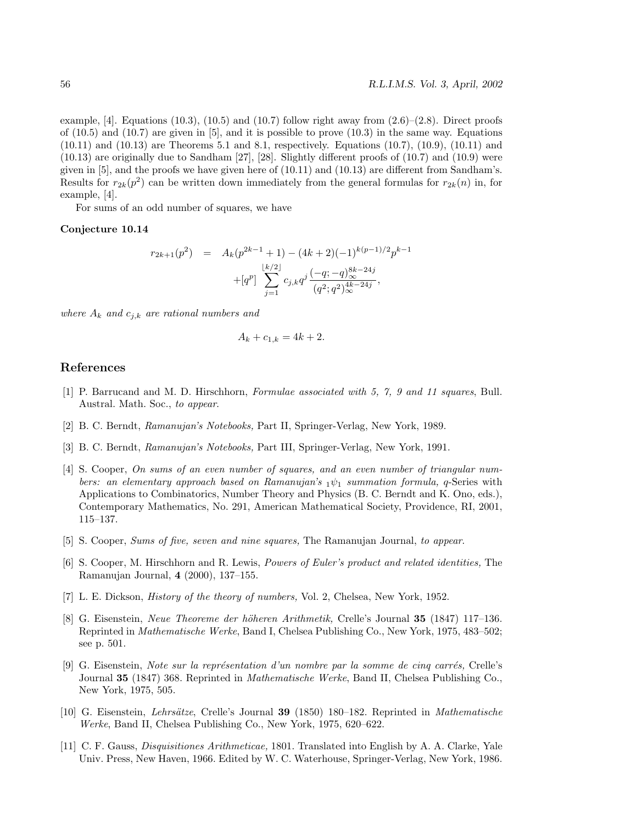example, [4]. Equations  $(10.3)$ ,  $(10.5)$  and  $(10.7)$  follow right away from  $(2.6)$ – $(2.8)$ . Direct proofs of  $(10.5)$  and  $(10.7)$  are given in  $[5]$ , and it is possible to prove  $(10.3)$  in the same way. Equations (10.11) and (10.13) are Theorems 5.1 and 8.1, respectively. Equations (10.7), (10.9), (10.11) and (10.13) are originally due to Sandham [27], [28]. Slightly different proofs of (10.7) and (10.9) were given in [5], and the proofs we have given here of (10.11) and (10.13) are different from Sandham's. Results for  $r_{2k}(p^2)$  can be written down immediately from the general formulas for  $r_{2k}(n)$  in, for example, [4].

For sums of an odd number of squares, we have

#### **Conjecture 10.14**

$$
r_{2k+1}(p^2) = A_k(p^{2k-1}+1) - (4k+2)(-1)^{k(p-1)/2}p^{k-1}
$$

$$
+ [q^p] \sum_{j=1}^{\lfloor k/2 \rfloor} c_{j,k} q^j \frac{(-q; -q)_{\infty}^{8k-24j}}{(q^2; q^2)_{\infty}^{4k-24j}},
$$

where  $A_k$  and  $c_{j,k}$  are rational numbers and

$$
A_k + c_{1,k} = 4k + 2.
$$

### **References**

- [1] P. Barrucand and M. D. Hirschhorn, Formulae associated with 5, 7, 9 and 11 squares, Bull. Austral. Math. Soc., to appear.
- [2] B. C. Berndt, Ramanujan's Notebooks, Part II, Springer-Verlag, New York, 1989.
- [3] B. C. Berndt, Ramanujan's Notebooks, Part III, Springer-Verlag, New York, 1991.
- [4] S. Cooper, On sums of an even number of squares, and an even number of triangular numbers: an elementary approach based on Ramanujan's  $_1\psi_1$  summation formula, q-Series with Applications to Combinatorics, Number Theory and Physics (B. C. Berndt and K. Ono, eds.), Contemporary Mathematics, No. 291, American Mathematical Society, Providence, RI, 2001, 115–137.
- [5] S. Cooper, Sums of five, seven and nine squares, The Ramanujan Journal, to appear.
- [6] S. Cooper, M. Hirschhorn and R. Lewis, Powers of Euler's product and related identities, The Ramanujan Journal, **4** (2000), 137–155.
- [7] L. E. Dickson, *History of the theory of numbers*, Vol. 2, Chelsea, New York, 1952.
- [8] G. Eisenstein, Neue Theoreme der h¨oheren Arithmetik, Crelle's Journal **35** (1847) 117–136. Reprinted in Mathematische Werke, Band I, Chelsea Publishing Co., New York, 1975, 483–502; see p. 501.
- [9] G. Eisenstein, Note sur la représentation d'un nombre par la somme de cinq carrés, Crelle's Journal **35** (1847) 368. Reprinted in Mathematische Werke, Band II, Chelsea Publishing Co., New York, 1975, 505.
- [10] G. Eisenstein, Lehrs¨atze, Crelle's Journal **39** (1850) 180–182. Reprinted in Mathematische Werke, Band II, Chelsea Publishing Co., New York, 1975, 620–622.
- [11] C. F. Gauss, Disquisitiones Arithmeticae, 1801. Translated into English by A. A. Clarke, Yale Univ. Press, New Haven, 1966. Edited by W. C. Waterhouse, Springer-Verlag, New York, 1986.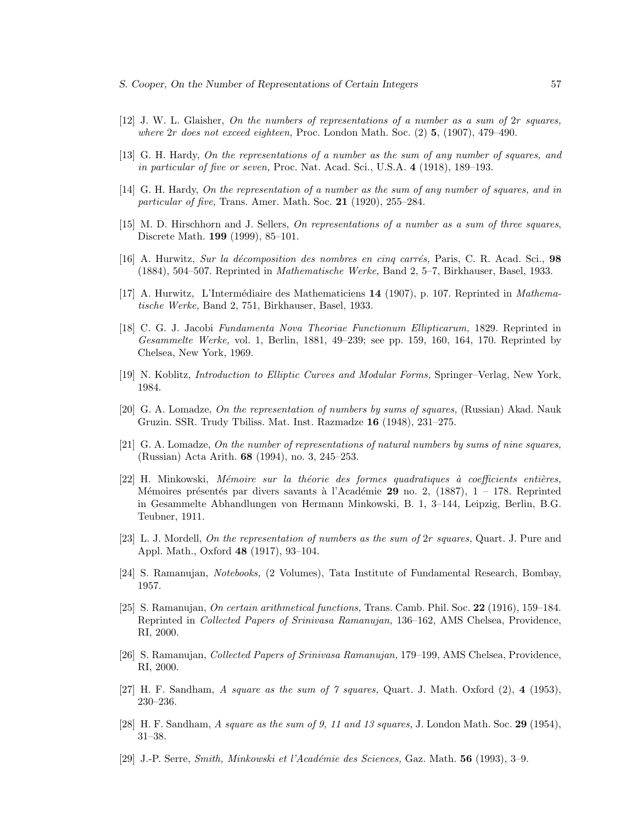- [12] J. W. L. Glaisher, On the numbers of representations of a number as a sum of 2r squares, where 2r does not exceed eighteen, Proc. London Math. Soc. (2) **5**, (1907), 479–490.
- [13] G. H. Hardy, On the representations of a number as the sum of any number of squares, and in particular of five or seven, Proc. Nat. Acad. Sci., U.S.A. **4** (1918), 189–193.
- [14] G. H. Hardy, On the representation of a number as the sum of any number of squares, and in particular of five, Trans. Amer. Math. Soc. **21** (1920), 255–284.
- [15] M. D. Hirschhorn and J. Sellers, On representations of a number as a sum of three squares, Discrete Math. **199** (1999), 85–101.
- [16] A. Hurwitz, Sur la décomposition des nombres en cinq carrés, Paris, C. R. Acad. Sci., 98 (1884), 504–507. Reprinted in Mathematische Werke, Band 2, 5–7, Birkhauser, Basel, 1933.
- [17] A. Hurwitz, L'Interm´ediaire des Mathematiciens **14** (1907), p. 107. Reprinted in Mathematische Werke, Band 2, 751, Birkhauser, Basel, 1933.
- [18] C. G. J. Jacobi Fundamenta Nova Theoriae Functionum Ellipticarum, 1829. Reprinted in Gesammelte Werke, vol. 1, Berlin, 1881, 49–239; see pp. 159, 160, 164, 170. Reprinted by Chelsea, New York, 1969.
- [19] N. Koblitz, Introduction to Elliptic Curves and Modular Forms, Springer–Verlag, New York, 1984.
- [20] G. A. Lomadze, On the representation of numbers by sums of squares, (Russian) Akad. Nauk Gruzin. SSR. Trudy Tbiliss. Mat. Inst. Razmadze **16** (1948), 231–275.
- [21] G. A. Lomadze, On the number of representations of natural numbers by sums of nine squares, (Russian) Acta Arith. **68** (1994), no. 3, 245–253.
- $[22]$  H. Minkowski, Mémoire sur la théorie des formes quadratiques à coefficients entières, Mémoires présentés par divers savants à l'Académie 29 no. 2, (1887), 1 – 178. Reprinted in Gesammelte Abhandlungen von Hermann Minkowski, B. 1, 3–144, Leipzig, Berlin, B.G. Teubner, 1911.
- [23] L. J. Mordell, On the representation of numbers as the sum of 2r squares, Quart. J. Pure and Appl. Math., Oxford **48** (1917), 93–104.
- [24] S. Ramanujan, Notebooks, (2 Volumes), Tata Institute of Fundamental Research, Bombay, 1957.
- [25] S. Ramanujan, On certain arithmetical functions, Trans. Camb. Phil. Soc. **22** (1916), 159–184. Reprinted in Collected Papers of Srinivasa Ramanujan, 136–162, AMS Chelsea, Providence, RI, 2000.
- [26] S. Ramanujan, Collected Papers of Srinivasa Ramanujan, 179–199, AMS Chelsea, Providence, RI, 2000.
- [27] H. F. Sandham, A square as the sum of 7 squares, Quart. J. Math. Oxford (2), **4** (1953), 230–236.
- [28] H. F. Sandham, A square as the sum of 9, 11 and 13 squares, J. London Math. Soc. **29** (1954), 31–38.
- [29] J.-P. Serre, *Smith, Minkowski et l'Académie des Sciences*, Gaz. Math. **56** (1993), 3–9.